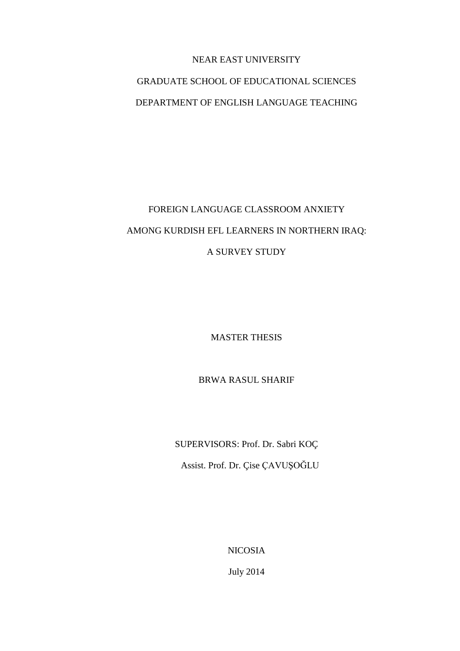## NEAR EAST UNIVERSITY

## GRADUATE SCHOOL OF EDUCATIONAL SCIENCES DEPARTMENT OF ENGLISH LANGUAGE TEACHING

# FOREIGN LANGUAGE CLASSROOM ANXIETY AMONG KURDISH EFL LEARNERS IN NORTHERN IRAQ: A SURVEY STUDY

MASTER THESIS

BRWA RASUL SHARIF

SUPERVISORS: Prof. Dr. Sabri KOÇ

Assist. Prof. Dr. Çise ÇAVUŞOĞLU

NICOSIA

July 2014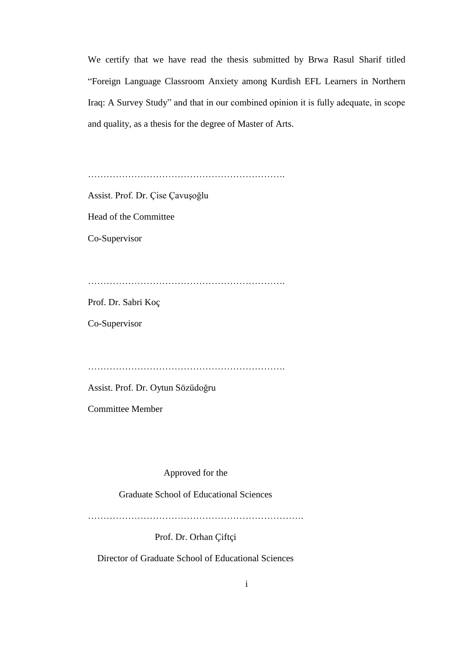We certify that we have read the thesis submitted by Brwa Rasul Sharif titled "Foreign Language Classroom Anxiety among Kurdish EFL Learners in Northern Iraq: A Survey Study" and that in our combined opinion it is fully adequate, in scope and quality, as a thesis for the degree of Master of Arts.

……………………………………………………….

Assist. Prof. Dr. Çise Çavuşoğlu

Head of the Committee

Co-Supervisor

……………………………………………………….

Prof. Dr. Sabri Koç

Co-Supervisor

……………………………………………………….

Assist. Prof. Dr. Oytun Sözüdoğru

Committee Member

Approved for the

Graduate School of Educational Sciences

…………………………………………………………….

Prof. Dr. Orhan Çiftçi

Director of Graduate School of Educational Sciences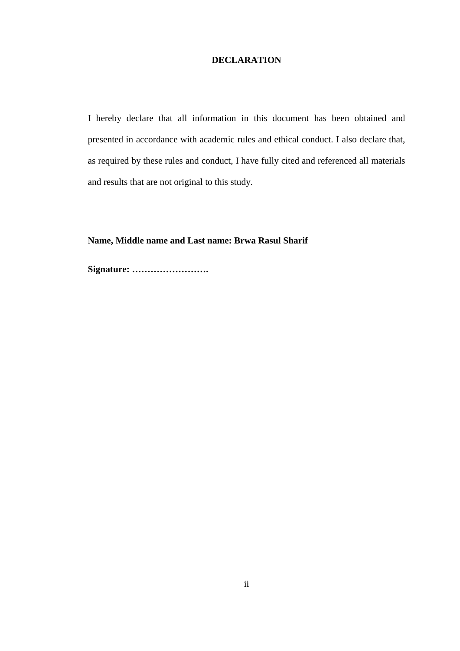#### **DECLARATION**

I hereby declare that all information in this document has been obtained and presented in accordance with academic rules and ethical conduct. I also declare that, as required by these rules and conduct, I have fully cited and referenced all materials and results that are not original to this study.

**Name, Middle name and Last name: Brwa Rasul Sharif**

**Signature: …………………….**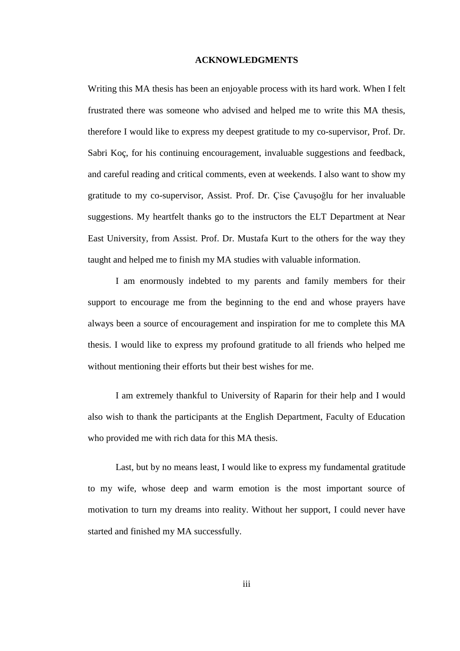#### **ACKNOWLEDGMENTS**

Writing this MA thesis has been an enjoyable process with its hard work. When I felt frustrated there was someone who advised and helped me to write this MA thesis, therefore I would like to express my deepest gratitude to my co-supervisor, Prof. Dr. Sabri Koç, for his continuing encouragement, invaluable suggestions and feedback, and careful reading and critical comments, even at weekends. I also want to show my gratitude to my co-supervisor, Assist. Prof. Dr. Çise Çavuşoğlu for her invaluable suggestions. My heartfelt thanks go to the instructors the ELT Department at Near East University, from Assist. Prof. Dr. Mustafa Kurt to the others for the way they taught and helped me to finish my MA studies with valuable information.

I am enormously indebted to my parents and family members for their support to encourage me from the beginning to the end and whose prayers have always been a source of encouragement and inspiration for me to complete this MA thesis. I would like to express my profound gratitude to all friends who helped me without mentioning their efforts but their best wishes for me.

I am extremely thankful to University of Raparin for their help and I would also wish to thank the participants at the English Department, Faculty of Education who provided me with rich data for this MA thesis.

Last, but by no means least, I would like to express my fundamental gratitude to my wife, whose deep and warm emotion is the most important source of motivation to turn my dreams into reality. Without her support, I could never have started and finished my MA successfully.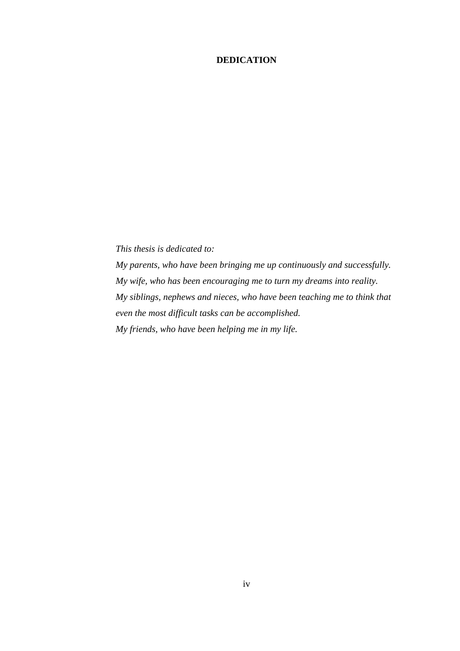## **DEDICATION**

*This thesis is dedicated to: My parents, who have been bringing me up continuously and successfully. My wife, who has been encouraging me to turn my dreams into reality. My siblings, nephews and nieces, who have been teaching me to think that even the most difficult tasks can be accomplished. My friends, who have been helping me in my life.*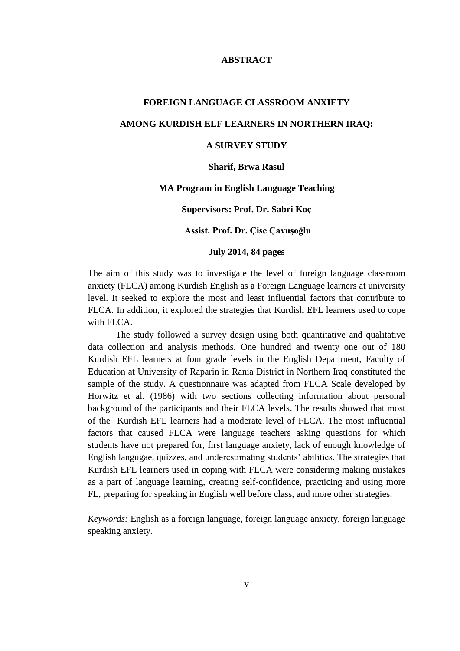#### **ABSTRACT**

# **FOREIGN LANGUAGE CLASSROOM ANXIETY AMONG KURDISH ELF LEARNERS IN NORTHERN IRAQ:**

## **A SURVEY STUDY**

#### **Sharif, Brwa Rasul**

#### **MA Program in English Language Teaching**

#### **Supervisors: Prof. Dr. Sabri Koç**

#### **Assist. Prof. Dr. Çise Çavuşoğlu**

#### **July 2014, 84 pages**

The aim of this study was to investigate the level of foreign language classroom anxiety (FLCA) among Kurdish English as a Foreign Language learners at university level. It seeked to explore the most and least influential factors that contribute to FLCA. In addition, it explored the strategies that Kurdish EFL learners used to cope with FLCA.

The study followed a survey design using both quantitative and qualitative data collection and analysis methods. One hundred and twenty one out of 180 Kurdish EFL learners at four grade levels in the English Department, Faculty of Education at University of Raparin in Rania District in Northern Iraq constituted the sample of the study. A questionnaire was adapted from FLCA Scale developed by Horwitz et al. (1986) with two sections collecting information about personal background of the participants and their FLCA levels. The results showed that most of the Kurdish EFL learners had a moderate level of FLCA. The most influential factors that caused FLCA were language teachers asking questions for which students have not prepared for, first language anxiety, lack of enough knowledge of English langugae, quizzes, and underestimating students' abilities. The strategies that Kurdish EFL learners used in coping with FLCA were considering making mistakes as a part of language learning, creating self-confidence, practicing and using more FL, preparing for speaking in English well before class, and more other strategies.

*Keywords:* English as a foreign language, foreign language anxiety, foreign language speaking anxiety.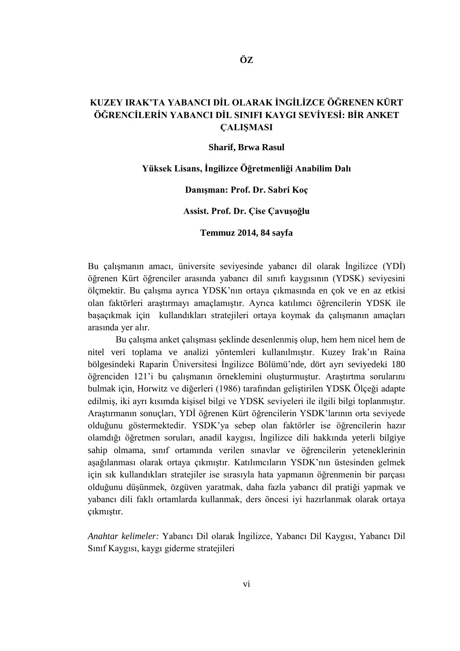## **KUZEY IRAK'TA YABANCI DİL OLARAK İNGİLİZCE ÖĞRENEN KÜRT ÖĞRENCİLERİN YABANCI DİL SINIFI KAYGI SEVİYESİ: BİR ANKET ÇALIŞMASI**

#### **Sharif, Brwa Rasul**

#### **Yüksek Lisans, İngilizce Öğretmenliği Anabilim Dalı**

#### **Danışman: Prof. Dr. Sabri Koç**

#### **Assist. Prof. Dr. Çise Çavuşoğlu**

#### **Temmuz 2014, 84 sayfa**

Bu çalışmanın amacı, üniversite seviyesinde yabancı dil olarak İngilizce (YDİ) öğrenen Kürt öğrenciler arasında yabancı dil sınıfı kaygısının (YDSK) seviyesini ölçmektir. Bu çalışma ayrıca YDSK'nın ortaya çıkmasında en çok ve en az etkisi olan faktörleri araştırmayı amaçlamıştır. Ayrıca katılımcı öğrencilerin YDSK ile başaçıkmak için kullandıkları stratejileri ortaya koymak da çalışmanın amaçları arasında yer alır.

Bu çalışma anket çalışması şeklinde desenlenmiş olup, hem hem nicel hem de nitel veri toplama ve analizi yöntemleri kullanılmıştır. Kuzey Irak'ın Raina bölgesindeki Raparin Üniversitesi İngilizce Bölümü'nde, dört ayrı seviyedeki 180 öğrenciden 121'i bu çalışmanın örneklemini oluşturmuştur. Araştırtma sorularını bulmak için, Horwitz ve diğerleri (1986) tarafından geliştirilen YDSK Ölçeği adapte edilmiş, iki ayrı kısımda kişisel bilgi ve YDSK seviyeleri ile ilgili bilgi toplanmıştır. Araştırmanın sonuçları, YDİ öğrenen Kürt öğrencilerin YSDK'larının orta seviyede olduğunu göstermektedir. YSDK'ya sebep olan faktörler ise öğrencilerin hazır olamdığı öğretmen soruları, anadil kaygısı, İngilizce dili hakkında yeterli bilgiye sahip olmama, sınıf ortamında verilen sınavlar ve öğrencilerin yeteneklerinin aşağılanması olarak ortaya çıkmıştır. Katılımcıların YSDK'nın üstesinden gelmek için sık kullandıkları stratejiler ise sırasıyla hata yapmanın öğrenmenin bir parçası olduğunu düşünmek, özgüven yaratmak, daha fazla yabancı dil pratiği yapmak ve yabancı dili faklı ortamlarda kullanmak, ders öncesi iyi hazırlanmak olarak ortaya çıkmıştır.

*Anahtar kelimeler:* Yabancı Dil olarak İngilizce, Yabancı Dil Kaygısı, Yabancı Dil Sınıf Kaygısı, kaygı giderme stratejileri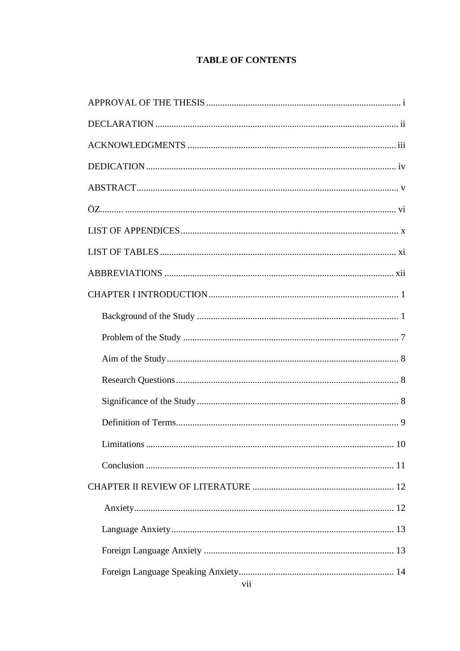## **TABLE OF CONTENTS**

| 10 |  |  |  |  |
|----|--|--|--|--|
|    |  |  |  |  |
|    |  |  |  |  |
|    |  |  |  |  |
|    |  |  |  |  |
|    |  |  |  |  |
|    |  |  |  |  |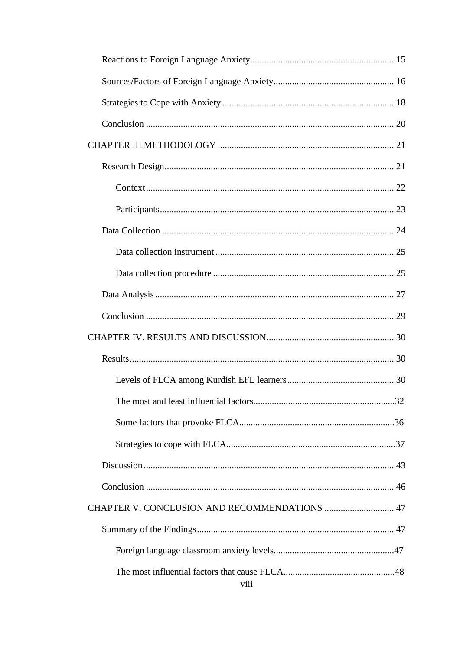| CHAPTER V. CONCLUSION AND RECOMMENDATIONS  47 |  |
|-----------------------------------------------|--|
|                                               |  |
|                                               |  |
|                                               |  |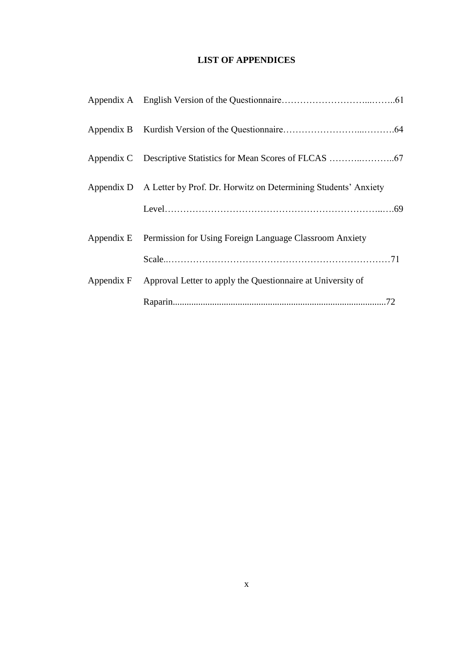## **LIST OF APPENDICES**

| Appendix D A Letter by Prof. Dr. Horwitz on Determining Students' Anxiety |  |  |
|---------------------------------------------------------------------------|--|--|
|                                                                           |  |  |
| Appendix E Permission for Using Foreign Language Classroom Anxiety        |  |  |
|                                                                           |  |  |
| Appendix F Approval Letter to apply the Questionnaire at University of    |  |  |
|                                                                           |  |  |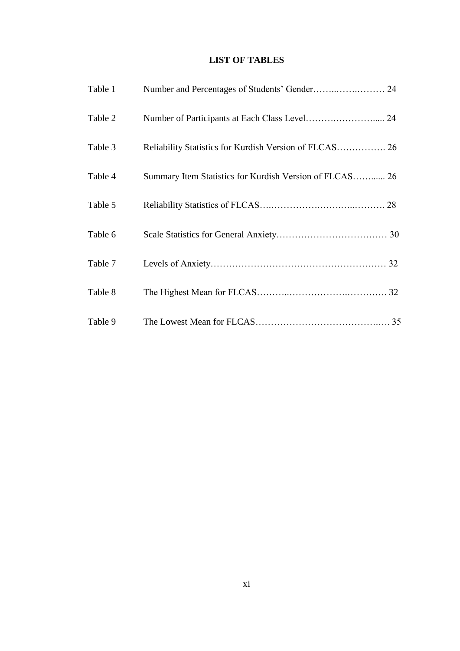## **LIST OF TABLES**

| Table 1 |                                                         |  |
|---------|---------------------------------------------------------|--|
| Table 2 |                                                         |  |
| Table 3 | Reliability Statistics for Kurdish Version of FLCAS 26  |  |
| Table 4 | Summary Item Statistics for Kurdish Version of FLCAS 26 |  |
| Table 5 |                                                         |  |
| Table 6 |                                                         |  |
| Table 7 |                                                         |  |
| Table 8 |                                                         |  |
| Table 9 |                                                         |  |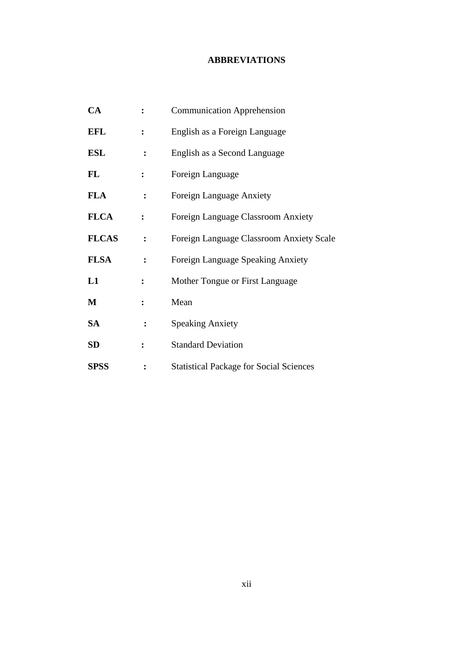## **ABBREVIATIONS**

| CA           | $\ddot{\cdot}$ | <b>Communication Apprehension</b>              |
|--------------|----------------|------------------------------------------------|
| <b>EFL</b>   | $\ddot{\cdot}$ | English as a Foreign Language                  |
| <b>ESL</b>   | $\ddot{\cdot}$ | English as a Second Language                   |
| FL           | $\ddot{\cdot}$ | Foreign Language                               |
| <b>FLA</b>   | :              | Foreign Language Anxiety                       |
| <b>FLCA</b>  | $\ddot{\cdot}$ | Foreign Language Classroom Anxiety             |
| <b>FLCAS</b> | :              | Foreign Language Classroom Anxiety Scale       |
| <b>FLSA</b>  | :              | Foreign Language Speaking Anxiety              |
| L1           | $\ddot{\cdot}$ | Mother Tongue or First Language                |
| M            | $\ddot{\cdot}$ | Mean                                           |
| SA           | :              | <b>Speaking Anxiety</b>                        |
| SD           | $\ddot{\cdot}$ | <b>Standard Deviation</b>                      |
| <b>SPSS</b>  |                | <b>Statistical Package for Social Sciences</b> |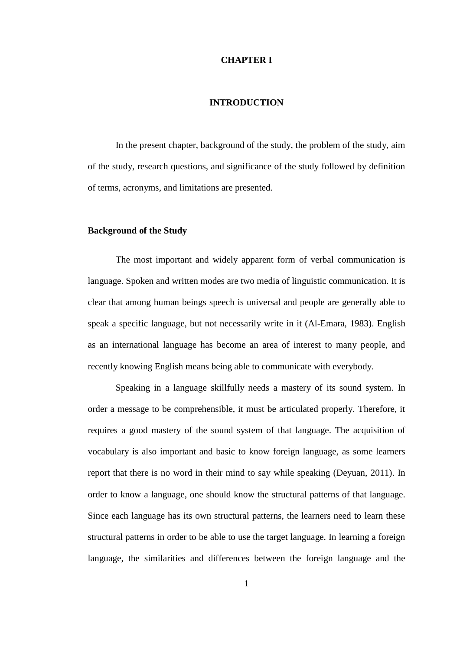#### **CHAPTER I**

#### **INTRODUCTION**

In the present chapter, background of the study, the problem of the study, aim of the study, research questions, and significance of the study followed by definition of terms, acronyms, and limitations are presented.

#### **Background of the Study**

The most important and widely apparent form of verbal communication is language. Spoken and written modes are two media of linguistic communication. It is clear that among human beings speech is universal and people are generally able to speak a specific language, but not necessarily write in it (Al-Emara, 1983). English as an international language has become an area of interest to many people, and recently knowing English means being able to communicate with everybody.

Speaking in a language skillfully needs a mastery of its sound system. In order a message to be comprehensible, it must be articulated properly. Therefore, it requires a good mastery of the sound system of that language. The acquisition of vocabulary is also important and basic to know foreign language, as some learners report that there is no word in their mind to say while speaking (Deyuan, 2011). In order to know a language, one should know the structural patterns of that language. Since each language has its own structural patterns, the learners need to learn these structural patterns in order to be able to use the target language. In learning a foreign language, the similarities and differences between the foreign language and the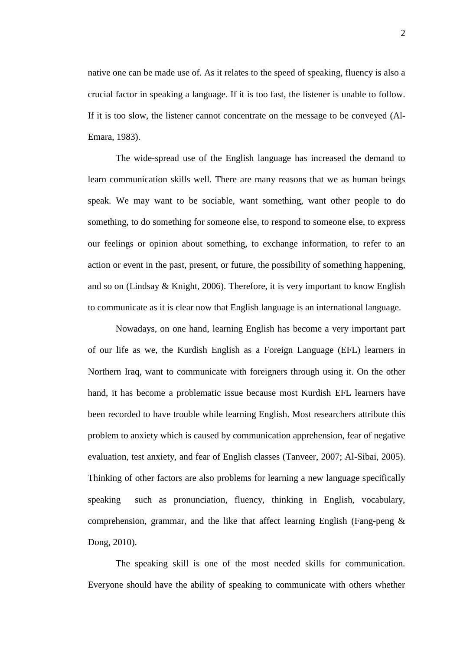native one can be made use of. As it relates to the speed of speaking, fluency is also a crucial factor in speaking a language. If it is too fast, the listener is unable to follow. If it is too slow, the listener cannot concentrate on the message to be conveyed (Al-Emara, 1983).

The wide-spread use of the English language has increased the demand to learn communication skills well. There are many reasons that we as human beings speak. We may want to be sociable, want something, want other people to do something, to do something for someone else, to respond to someone else, to express our feelings or opinion about something, to exchange information, to refer to an action or event in the past, present, or future, the possibility of something happening, and so on (Lindsay  $\&$  Knight, 2006). Therefore, it is very important to know English to communicate as it is clear now that English language is an international language.

Nowadays, on one hand, learning English has become a very important part of our life as we, the Kurdish English as a Foreign Language (EFL) learners in Northern Iraq, want to communicate with foreigners through using it. On the other hand, it has become a problematic issue because most Kurdish EFL learners have been recorded to have trouble while learning English. Most researchers attribute this problem to anxiety which is caused by communication apprehension, fear of negative evaluation, test anxiety, and fear of English classes (Tanveer, 2007; Al-Sibai, 2005). Thinking of other factors are also problems for learning a new language specifically speaking such as pronunciation, fluency, thinking in English, vocabulary, comprehension, grammar, and the like that affect learning English (Fang-peng  $\&$ Dong, 2010).

The speaking skill is one of the most needed skills for communication. Everyone should have the ability of speaking to communicate with others whether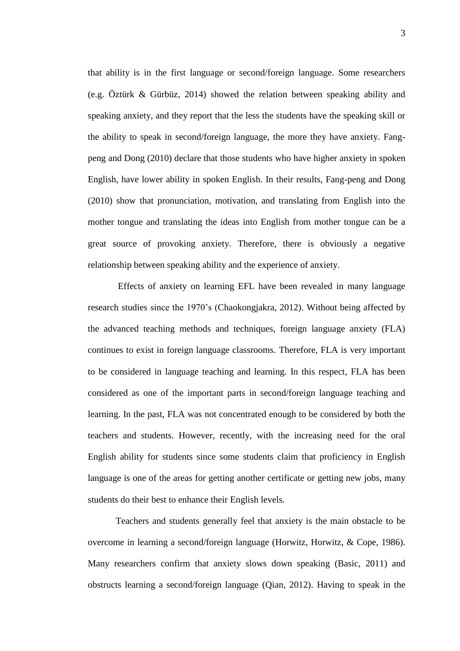that ability is in the first language or second/foreign language. Some researchers (e.g. Öztürk & Gürbüz, 2014) showed the relation between speaking ability and speaking anxiety, and they report that the less the students have the speaking skill or the ability to speak in second/foreign language, the more they have anxiety. Fangpeng and Dong (2010) declare that those students who have higher anxiety in spoken English, have lower ability in spoken English. In their results, Fang-peng and Dong (2010) show that pronunciation, motivation, and translating from English into the mother tongue and translating the ideas into English from mother tongue can be a great source of provoking anxiety. Therefore, there is obviously a negative relationship between speaking ability and the experience of anxiety.

Effects of anxiety on learning EFL have been revealed in many language research studies since the 1970's (Chaokongjakra, 2012). Without being affected by the advanced teaching methods and techniques, foreign language anxiety (FLA) continues to exist in foreign language classrooms. Therefore, FLA is very important to be considered in language teaching and learning. In this respect, FLA has been considered as one of the important parts in second/foreign language teaching and learning. In the past, FLA was not concentrated enough to be considered by both the teachers and students. However, recently, with the increasing need for the oral English ability for students since some students claim that proficiency in English language is one of the areas for getting another certificate or getting new jobs, many students do their best to enhance their English levels.

Teachers and students generally feel that anxiety is the main obstacle to be overcome in learning a second/foreign language (Horwitz, Horwitz, & Cope, 1986). Many researchers confirm that anxiety slows down speaking (Basic, 2011) and obstructs learning a second/foreign language (Qian, 2012). Having to speak in the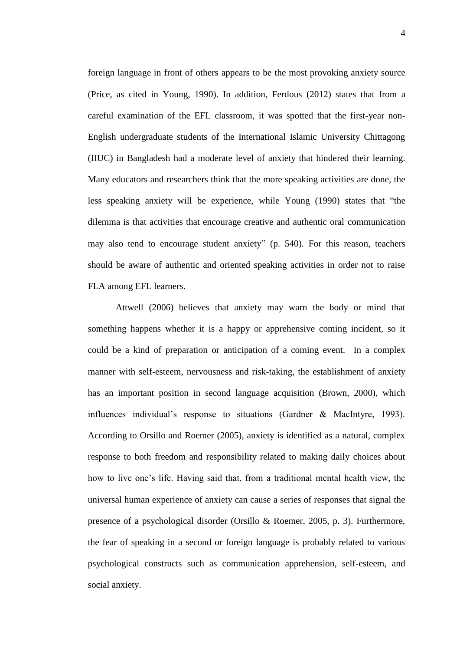foreign language in front of others appears to be the most provoking anxiety source (Price, as cited in Young, 1990). In addition, Ferdous (2012) states that from a careful examination of the EFL classroom, it was spotted that the first-year non-English undergraduate students of the International Islamic University Chittagong (IIUC) in Bangladesh had a moderate level of anxiety that hindered their learning. Many educators and researchers think that the more speaking activities are done, the less speaking anxiety will be experience, while Young (1990) states that "the dilemma is that activities that encourage creative and authentic oral communication may also tend to encourage student anxiety" (p. 540). For this reason, teachers should be aware of authentic and oriented speaking activities in order not to raise FLA among EFL learners.

Attwell (2006) believes that anxiety may warn the body or mind that something happens whether it is a happy or apprehensive coming incident, so it could be a kind of preparation or anticipation of a coming event. In a complex manner with self-esteem, nervousness and risk-taking, the establishment of anxiety has an important position in second language acquisition (Brown, 2000), which influences individual's response to situations (Gardner & MacIntyre, 1993). According to Orsillo and Roemer (2005), anxiety is identified as a natural, complex response to both freedom and responsibility related to making daily choices about how to live one's life. Having said that, from a traditional mental health view, the universal human experience of anxiety can cause a series of responses that signal the presence of a psychological disorder (Orsillo & Roemer, 2005, p. 3). Furthermore, the fear of speaking in a second or foreign language is probably related to various psychological constructs such as communication apprehension, self-esteem, and social anxiety.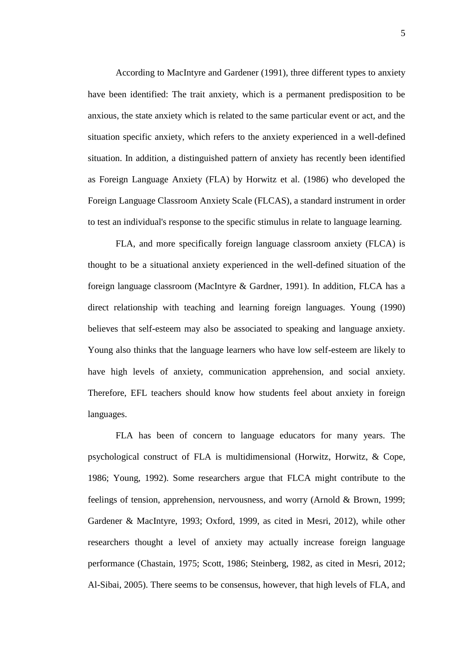According to MacIntyre and Gardener (1991), three different types to anxiety have been identified: The trait anxiety, which is a permanent predisposition to be anxious, the state anxiety which is related to the same particular event or act, and the situation specific anxiety, which refers to the anxiety experienced in a well-defined situation. In addition, a distinguished pattern of anxiety has recently been identified as Foreign Language Anxiety (FLA) by Horwitz et al. (1986) who developed the Foreign Language Classroom Anxiety Scale (FLCAS), a standard instrument in order to test an individual's response to the specific stimulus in relate to language learning.

FLA, and more specifically foreign language classroom anxiety (FLCA) is thought to be a situational anxiety experienced in the well-defined situation of the foreign language classroom (MacIntyre & Gardner, 1991). In addition, FLCA has a direct relationship with teaching and learning foreign languages. Young (1990) believes that self-esteem may also be associated to speaking and language anxiety. Young also thinks that the language learners who have low self-esteem are likely to have high levels of anxiety, communication apprehension, and social anxiety. Therefore, EFL teachers should know how students feel about anxiety in foreign languages.

FLA has been of concern to language educators for many years. The psychological construct of FLA is multidimensional (Horwitz, Horwitz, & Cope, 1986; Young, 1992). Some researchers argue that FLCA might contribute to the feelings of tension, apprehension, nervousness, and worry (Arnold & Brown, 1999; Gardener & MacIntyre, 1993; Oxford, 1999, as cited in Mesri, 2012), while other researchers thought a level of anxiety may actually increase foreign language performance (Chastain, 1975; Scott, 1986; Steinberg, 1982, as cited in Mesri, 2012; Al-Sibai, 2005). There seems to be consensus, however, that high levels of FLA, and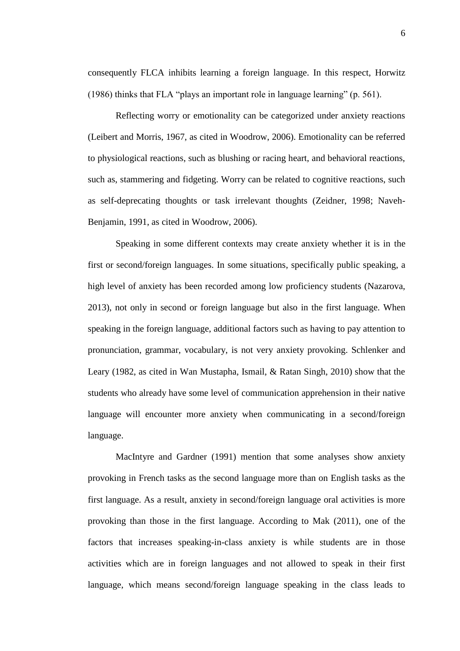consequently FLCA inhibits learning a foreign language. In this respect, Horwitz (1986) thinks that FLA "plays an important role in language learning" (p. 561).

Reflecting worry or emotionality can be categorized under anxiety reactions (Leibert and Morris, 1967, as cited in Woodrow, 2006). Emotionality can be referred to physiological reactions, such as blushing or racing heart, and behavioral reactions, such as, stammering and fidgeting. Worry can be related to cognitive reactions, such as self-deprecating thoughts or task irrelevant thoughts (Zeidner, 1998; Naveh-Benjamin, 1991, as cited in Woodrow, 2006).

Speaking in some different contexts may create anxiety whether it is in the first or second/foreign languages. In some situations, specifically public speaking, a high level of anxiety has been recorded among low proficiency students (Nazarova, 2013), not only in second or foreign language but also in the first language. When speaking in the foreign language, additional factors such as having to pay attention to pronunciation, grammar, vocabulary, is not very anxiety provoking. Schlenker and Leary (1982, as cited in Wan Mustapha, Ismail, & Ratan Singh, 2010) show that the students who already have some level of communication apprehension in their native language will encounter more anxiety when communicating in a second/foreign language.

MacIntyre and Gardner (1991) mention that some analyses show anxiety provoking in French tasks as the second language more than on English tasks as the first language. As a result, anxiety in second/foreign language oral activities is more provoking than those in the first language. According to Mak (2011), one of the factors that increases speaking-in-class anxiety is while students are in those activities which are in foreign languages and not allowed to speak in their first language, which means second/foreign language speaking in the class leads to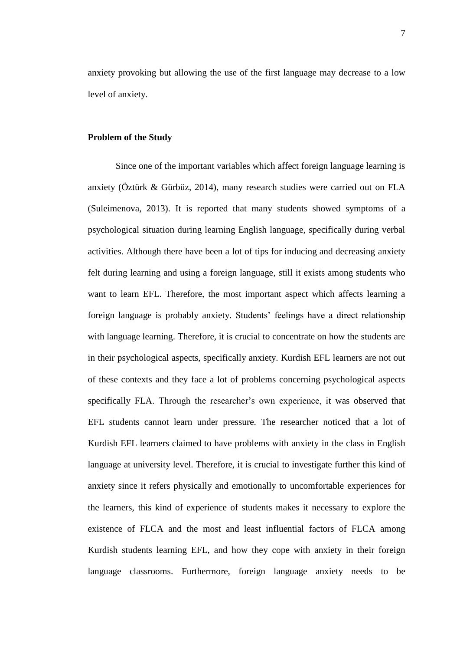anxiety provoking but allowing the use of the first language may decrease to a low level of anxiety.

#### **Problem of the Study**

Since one of the important variables which affect foreign language learning is anxiety (Öztürk & Gürbüz, 2014), many research studies were carried out on FLA (Suleimenova, 2013). It is reported that many students showed symptoms of a psychological situation during learning English language, specifically during verbal activities. Although there have been a lot of tips for inducing and decreasing anxiety felt during learning and using a foreign language, still it exists among students who want to learn EFL. Therefore, the most important aspect which affects learning a foreign language is probably anxiety. Students' feelings have a direct relationship with language learning. Therefore, it is crucial to concentrate on how the students are in their psychological aspects, specifically anxiety. Kurdish EFL learners are not out of these contexts and they face a lot of problems concerning psychological aspects specifically FLA. Through the researcher's own experience, it was observed that EFL students cannot learn under pressure. The researcher noticed that a lot of Kurdish EFL learners claimed to have problems with anxiety in the class in English language at university level. Therefore, it is crucial to investigate further this kind of anxiety since it refers physically and emotionally to uncomfortable experiences for the learners, this kind of experience of students makes it necessary to explore the existence of FLCA and the most and least influential factors of FLCA among Kurdish students learning EFL, and how they cope with anxiety in their foreign language classrooms. Furthermore, foreign language anxiety needs to be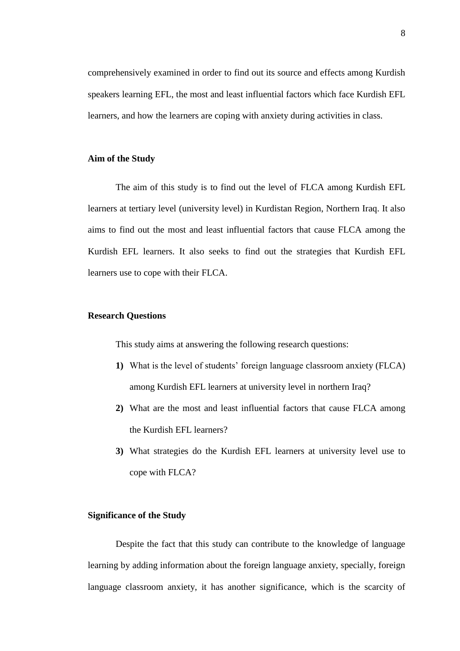comprehensively examined in order to find out its source and effects among Kurdish speakers learning EFL, the most and least influential factors which face Kurdish EFL learners, and how the learners are coping with anxiety during activities in class.

#### **Aim of the Study**

The aim of this study is to find out the level of FLCA among Kurdish EFL learners at tertiary level (university level) in Kurdistan Region, Northern Iraq. It also aims to find out the most and least influential factors that cause FLCA among the Kurdish EFL learners. It also seeks to find out the strategies that Kurdish EFL learners use to cope with their FLCA.

#### **Research Questions**

This study aims at answering the following research questions:

- **1)** What is the level of students' foreign language classroom anxiety (FLCA) among Kurdish EFL learners at university level in northern Iraq?
- **2)** What are the most and least influential factors that cause FLCA among the Kurdish EFL learners?
- **3)** What strategies do the Kurdish EFL learners at university level use to cope with FLCA?

#### **Significance of the Study**

Despite the fact that this study can contribute to the knowledge of language learning by adding information about the foreign language anxiety, specially, foreign language classroom anxiety, it has another significance, which is the scarcity of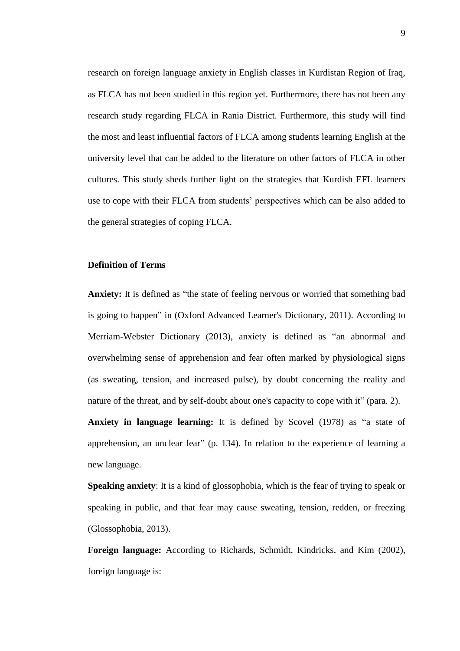research on foreign language anxiety in English classes in Kurdistan Region of Iraq, as FLCA has not been studied in this region yet. Furthermore, there has not been any research study regarding FLCA in Rania District. Furthermore, this study will find the most and least influential factors of FLCA among students learning English at the university level that can be added to the literature on other factors of FLCA in other cultures. This study sheds further light on the strategies that Kurdish EFL learners use to cope with their FLCA from students' perspectives which can be also added to the general strategies of coping FLCA.

#### **Definition of Terms**

**Anxiety:** It is defined as "the state of feeling nervous or worried that something bad is going to happen" in (Oxford Advanced Learner's Dictionary, 2011). According to Merriam-Webster Dictionary (2013), anxiety is defined as "an abnormal and overwhelming sense of apprehension and fear often marked by physiological signs (as sweating, tension, and increased pulse), by doubt concerning the reality and nature of the threat, and by self-doubt about one's capacity to cope with it" (para. 2).

**Anxiety in language learning:** It is defined by Scovel (1978) as "a state of apprehension, an unclear fear" (p. 134). In relation to the experience of learning a new language.

**Speaking anxiety**: It is a kind of glossophobia, which is the fear of trying to speak or speaking in public, and that fear may cause sweating, tension, redden, or freezing (Glossophobia, 2013).

**Foreign language:** According to Richards, Schmidt, Kindricks, and Kim (2002), foreign language is: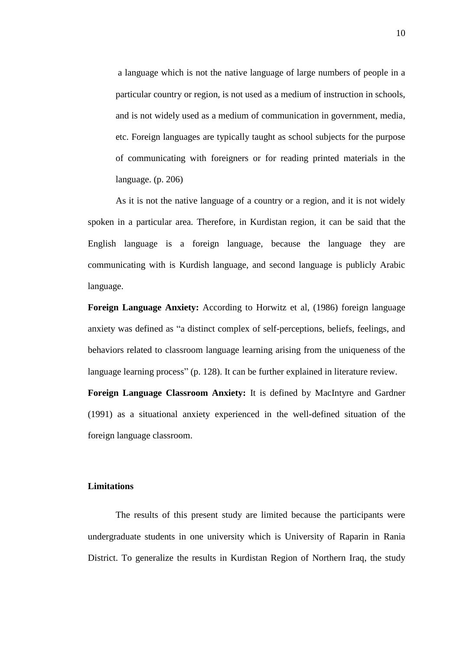a language which is not the native language of large numbers of people in a particular country or region, is not used as a medium of instruction in schools, and is not widely used as a medium of communication in government, media, etc. Foreign languages are typically taught as school subjects for the purpose of communicating with foreigners or for reading printed materials in the language. (p. 206)

As it is not the native language of a country or a region, and it is not widely spoken in a particular area. Therefore, in Kurdistan region, it can be said that the English language is a foreign language, because the language they are communicating with is Kurdish language, and second language is publicly Arabic language.

**Foreign Language Anxiety:** According to Horwitz et al, (1986) foreign language anxiety was defined as "a distinct complex of self-perceptions, beliefs, feelings, and behaviors related to classroom language learning arising from the uniqueness of the language learning process" (p. 128). It can be further explained in literature review.

**Foreign Language Classroom Anxiety:** It is defined by MacIntyre and Gardner (1991) as a situational anxiety experienced in the well-defined situation of the foreign language classroom.

#### **Limitations**

The results of this present study are limited because the participants were undergraduate students in one university which is University of Raparin in Rania District. To generalize the results in Kurdistan Region of Northern Iraq, the study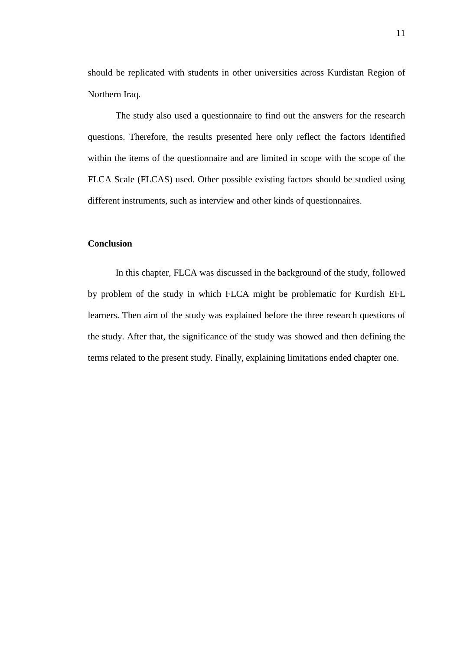should be replicated with students in other universities across Kurdistan Region of Northern Iraq.

The study also used a questionnaire to find out the answers for the research questions. Therefore, the results presented here only reflect the factors identified within the items of the questionnaire and are limited in scope with the scope of the FLCA Scale (FLCAS) used. Other possible existing factors should be studied using different instruments, such as interview and other kinds of questionnaires.

#### **Conclusion**

In this chapter, FLCA was discussed in the background of the study, followed by problem of the study in which FLCA might be problematic for Kurdish EFL learners. Then aim of the study was explained before the three research questions of the study. After that, the significance of the study was showed and then defining the terms related to the present study. Finally, explaining limitations ended chapter one.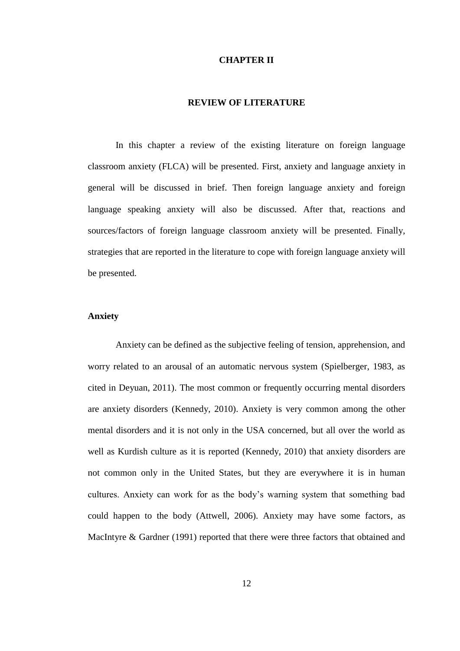#### **CHAPTER II**

#### **REVIEW OF LITERATURE**

In this chapter a review of the existing literature on foreign language classroom anxiety (FLCA) will be presented. First, anxiety and language anxiety in general will be discussed in brief. Then foreign language anxiety and foreign language speaking anxiety will also be discussed. After that, reactions and sources/factors of foreign language classroom anxiety will be presented. Finally, strategies that are reported in the literature to cope with foreign language anxiety will be presented.

#### **Anxiety**

Anxiety can be defined as the subjective feeling of tension, apprehension, and worry related to an arousal of an automatic nervous system (Spielberger, 1983, as cited in Deyuan, 2011). The most common or frequently occurring mental disorders are anxiety disorders (Kennedy, 2010). Anxiety is very common among the other mental disorders and it is not only in the USA concerned, but all over the world as well as Kurdish culture as it is reported (Kennedy, 2010) that anxiety disorders are not common only in the United States, but they are everywhere it is in human cultures. Anxiety can work for as the body's warning system that something bad could happen to the body (Attwell, 2006). Anxiety may have some factors, as MacIntyre & Gardner (1991) reported that there were three factors that obtained and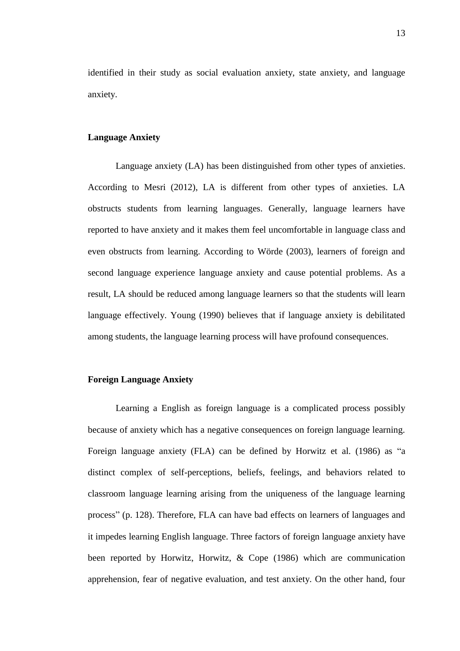identified in their study as social evaluation anxiety, state anxiety, and language anxiety.

#### **Language Anxiety**

Language anxiety (LA) has been distinguished from other types of anxieties. According to Mesri (2012), LA is different from other types of anxieties. LA obstructs students from learning languages. Generally, language learners have reported to have anxiety and it makes them feel uncomfortable in language class and even obstructs from learning. According to Wörde (2003), learners of foreign and second language experience language anxiety and cause potential problems. As a result, LA should be reduced among language learners so that the students will learn language effectively. Young (1990) believes that if language anxiety is debilitated among students, the language learning process will have profound consequences.

#### **Foreign Language Anxiety**

Learning a English as foreign language is a complicated process possibly because of anxiety which has a negative consequences on foreign language learning. Foreign language anxiety (FLA) can be defined by Horwitz et al. (1986) as "a distinct complex of self-perceptions, beliefs, feelings, and behaviors related to classroom language learning arising from the uniqueness of the language learning process" (p. 128). Therefore, FLA can have bad effects on learners of languages and it impedes learning English language. Three factors of foreign language anxiety have been reported by Horwitz, Horwitz, & Cope (1986) which are communication apprehension, fear of negative evaluation, and test anxiety. On the other hand, four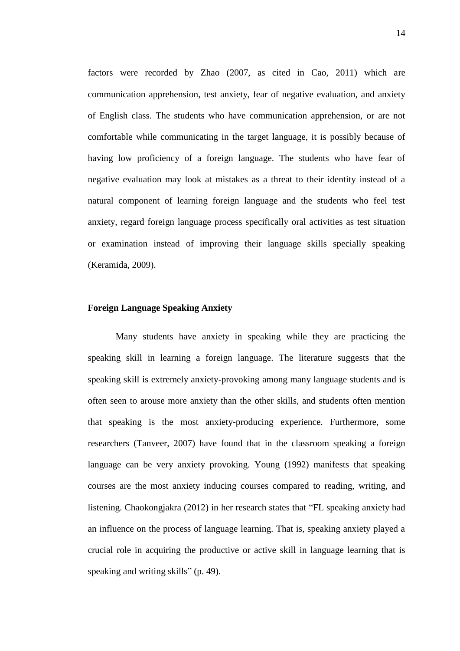factors were recorded by Zhao (2007, as cited in Cao, 2011) which are communication apprehension, test anxiety, fear of negative evaluation, and anxiety of English class. The students who have communication apprehension, or are not comfortable while communicating in the target language, it is possibly because of having low proficiency of a foreign language. The students who have fear of negative evaluation may look at mistakes as a threat to their identity instead of a natural component of learning foreign language and the students who feel test anxiety, regard foreign language process specifically oral activities as test situation or examination instead of improving their language skills specially speaking (Keramida, 2009).

#### **Foreign Language Speaking Anxiety**

Many students have anxiety in speaking while they are practicing the speaking skill in learning a foreign language. The literature suggests that the speaking skill is extremely anxiety-provoking among many language students and is often seen to arouse more anxiety than the other skills, and students often mention that speaking is the most anxiety-producing experience. Furthermore, some researchers (Tanveer, 2007) have found that in the classroom speaking a foreign language can be very anxiety provoking. Young (1992) manifests that speaking courses are the most anxiety inducing courses compared to reading, writing, and listening. Chaokongjakra (2012) in her research states that "FL speaking anxiety had an influence on the process of language learning. That is, speaking anxiety played a crucial role in acquiring the productive or active skill in language learning that is speaking and writing skills" (p. 49).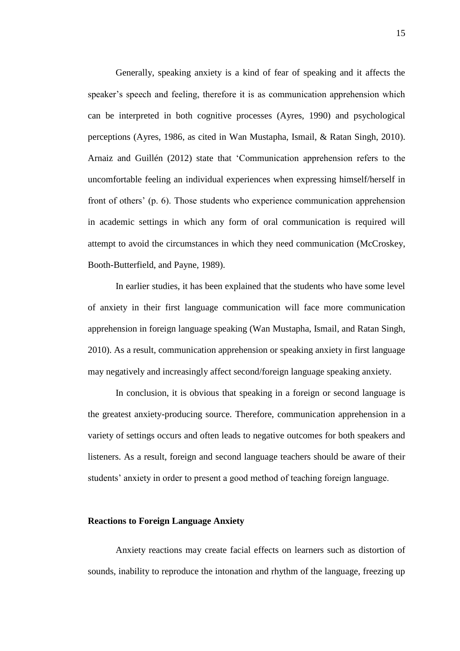Generally, speaking anxiety is a kind of fear of speaking and it affects the speaker's speech and feeling, therefore it is as communication apprehension which can be interpreted in both cognitive processes (Ayres, 1990) and psychological perceptions (Ayres, 1986, as cited in Wan Mustapha, Ismail, & Ratan Singh, 2010). Arnaiz and Guillén (2012) state that 'Communication apprehension refers to the uncomfortable feeling an individual experiences when expressing himself/herself in front of others' (p. 6). Those students who experience communication apprehension in academic settings in which any form of oral communication is required will attempt to avoid the circumstances in which they need communication (McCroskey, Booth-Butterfield, and Payne, 1989).

In earlier studies, it has been explained that the students who have some level of anxiety in their first language communication will face more communication apprehension in foreign language speaking (Wan Mustapha, Ismail, and Ratan Singh, 2010). As a result, communication apprehension or speaking anxiety in first language may negatively and increasingly affect second/foreign language speaking anxiety.

In conclusion, it is obvious that speaking in a foreign or second language is the greatest anxiety-producing source. Therefore, communication apprehension in a variety of settings occurs and often leads to negative outcomes for both speakers and listeners. As a result, foreign and second language teachers should be aware of their students' anxiety in order to present a good method of teaching foreign language.

#### **Reactions to Foreign Language Anxiety**

Anxiety reactions may create facial effects on learners such as distortion of sounds, inability to reproduce the intonation and rhythm of the language, freezing up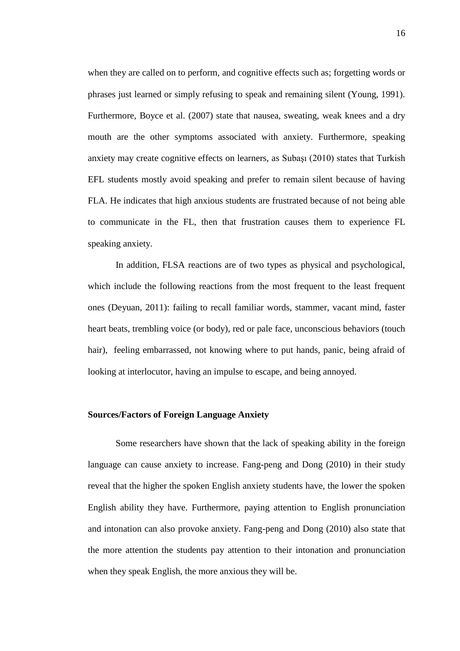when they are called on to perform, and cognitive effects such as; forgetting words or phrases just learned or simply refusing to speak and remaining silent (Young, 1991). Furthermore, Boyce et al. (2007) state that nausea, sweating, weak knees and a dry mouth are the other symptoms associated with anxiety. Furthermore, speaking anxiety may create cognitive effects on learners, as Subaşı (2010) states that Turkish EFL students mostly avoid speaking and prefer to remain silent because of having FLA. He indicates that high anxious students are frustrated because of not being able to communicate in the FL, then that frustration causes them to experience FL speaking anxiety.

In addition, FLSA reactions are of two types as physical and psychological, which include the following reactions from the most frequent to the least frequent ones (Deyuan, 2011): failing to recall familiar words, stammer, vacant mind, faster heart beats, trembling voice (or body), red or pale face, unconscious behaviors (touch hair), feeling embarrassed, not knowing where to put hands, panic, being afraid of looking at interlocutor, having an impulse to escape, and being annoyed.

#### **Sources/Factors of Foreign Language Anxiety**

Some researchers have shown that the lack of speaking ability in the foreign language can cause anxiety to increase. Fang-peng and Dong (2010) in their study reveal that the higher the spoken English anxiety students have, the lower the spoken English ability they have. Furthermore, paying attention to English pronunciation and intonation can also provoke anxiety. Fang-peng and Dong (2010) also state that the more attention the students pay attention to their intonation and pronunciation when they speak English, the more anxious they will be.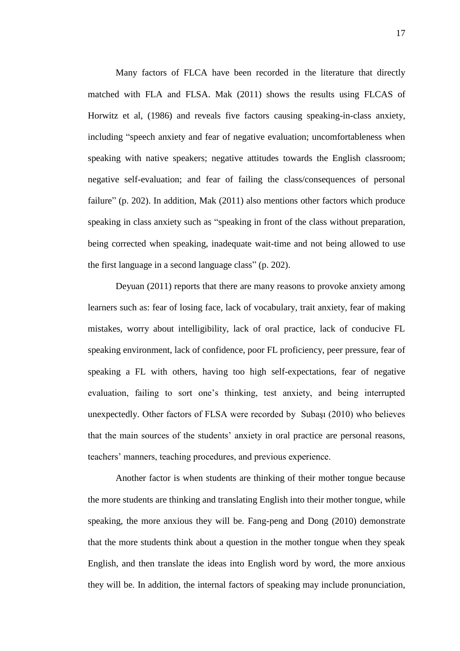Many factors of FLCA have been recorded in the literature that directly matched with FLA and FLSA. Mak (2011) shows the results using FLCAS of Horwitz et al, (1986) and reveals five factors causing speaking-in-class anxiety, including "speech anxiety and fear of negative evaluation; uncomfortableness when speaking with native speakers; negative attitudes towards the English classroom; negative self-evaluation; and fear of failing the class/consequences of personal failure" (p. 202). In addition, Mak (2011) also mentions other factors which produce speaking in class anxiety such as "speaking in front of the class without preparation, being corrected when speaking, inadequate wait-time and not being allowed to use the first language in a second language class" (p. 202).

Deyuan (2011) reports that there are many reasons to provoke anxiety among learners such as: fear of losing face, lack of vocabulary, trait anxiety, fear of making mistakes, worry about intelligibility, lack of oral practice, lack of conducive FL speaking environment, lack of confidence, poor FL proficiency, peer pressure, fear of speaking a FL with others, having too high self-expectations, fear of negative evaluation, failing to sort one's thinking, test anxiety, and being interrupted unexpectedly. Other factors of FLSA were recorded by Subaşı (2010) who believes that the main sources of the students' anxiety in oral practice are personal reasons, teachers' manners, teaching procedures, and previous experience.

Another factor is when students are thinking of their mother tongue because the more students are thinking and translating English into their mother tongue, while speaking, the more anxious they will be. Fang-peng and Dong (2010) demonstrate that the more students think about a question in the mother tongue when they speak English, and then translate the ideas into English word by word, the more anxious they will be. In addition, the internal factors of speaking may include pronunciation,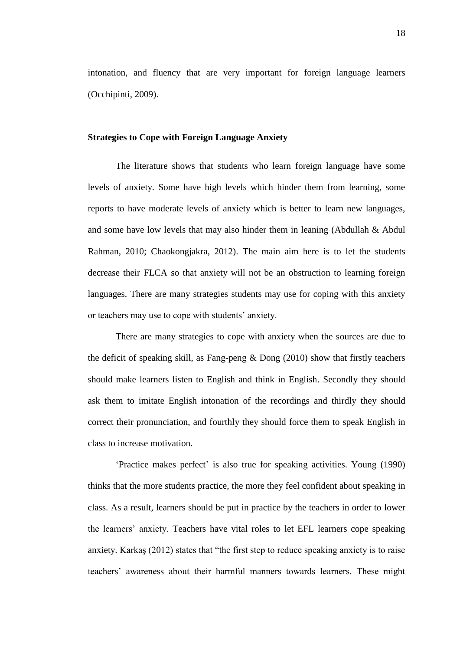intonation, and fluency that are very important for foreign language learners (Occhipinti, 2009).

#### **Strategies to Cope with Foreign Language Anxiety**

The literature shows that students who learn foreign language have some levels of anxiety. Some have high levels which hinder them from learning, some reports to have moderate levels of anxiety which is better to learn new languages, and some have low levels that may also hinder them in leaning (Abdullah & Abdul Rahman, 2010; Chaokongjakra, 2012). The main aim here is to let the students decrease their FLCA so that anxiety will not be an obstruction to learning foreign languages. There are many strategies students may use for coping with this anxiety or teachers may use to cope with students' anxiety.

There are many strategies to cope with anxiety when the sources are due to the deficit of speaking skill, as Fang-peng & Dong (2010) show that firstly teachers should make learners listen to English and think in English. Secondly they should ask them to imitate English intonation of the recordings and thirdly they should correct their pronunciation, and fourthly they should force them to speak English in class to increase motivation.

'Practice makes perfect' is also true for speaking activities. Young (1990) thinks that the more students practice, the more they feel confident about speaking in class. As a result, learners should be put in practice by the teachers in order to lower the learners' anxiety. Teachers have vital roles to let EFL learners cope speaking anxiety. Karkaş (2012) states that "the first step to reduce speaking anxiety is to raise teachers' awareness about their harmful manners towards learners. These might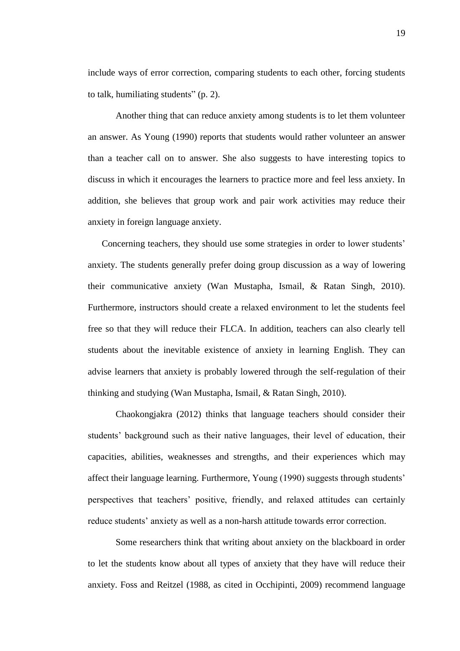include ways of error correction, comparing students to each other, forcing students to talk, humiliating students" (p. 2).

Another thing that can reduce anxiety among students is to let them volunteer an answer. As Young (1990) reports that students would rather volunteer an answer than a teacher call on to answer. She also suggests to have interesting topics to discuss in which it encourages the learners to practice more and feel less anxiety. In addition, she believes that group work and pair work activities may reduce their anxiety in foreign language anxiety.

Concerning teachers, they should use some strategies in order to lower students' anxiety. The students generally prefer doing group discussion as a way of lowering their communicative anxiety (Wan Mustapha, Ismail, & Ratan Singh, 2010). Furthermore, instructors should create a relaxed environment to let the students feel free so that they will reduce their FLCA. In addition, teachers can also clearly tell students about the inevitable existence of anxiety in learning English. They can advise learners that anxiety is probably lowered through the self-regulation of their thinking and studying (Wan Mustapha, Ismail, & Ratan Singh, 2010).

Chaokongjakra (2012) thinks that language teachers should consider their students' background such as their native languages, their level of education, their capacities, abilities, weaknesses and strengths, and their experiences which may affect their language learning. Furthermore, Young (1990) suggests through students' perspectives that teachers' positive, friendly, and relaxed attitudes can certainly reduce students' anxiety as well as a non-harsh attitude towards error correction.

Some researchers think that writing about anxiety on the blackboard in order to let the students know about all types of anxiety that they have will reduce their anxiety. Foss and Reitzel (1988, as cited in Occhipinti, 2009) recommend language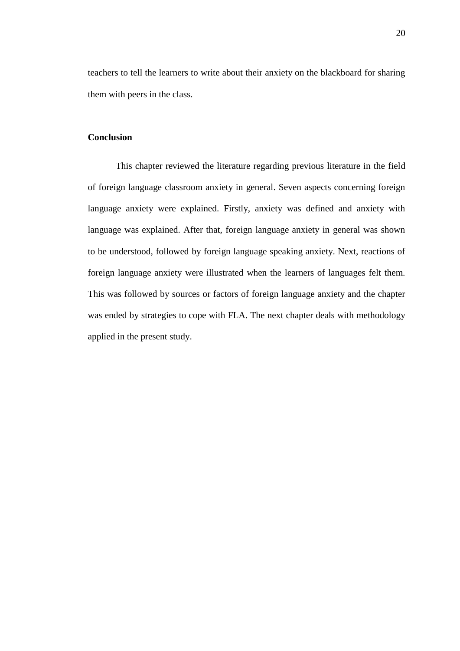teachers to tell the learners to write about their anxiety on the blackboard for sharing them with peers in the class.

#### **Conclusion**

This chapter reviewed the literature regarding previous literature in the field of foreign language classroom anxiety in general. Seven aspects concerning foreign language anxiety were explained. Firstly, anxiety was defined and anxiety with language was explained. After that, foreign language anxiety in general was shown to be understood, followed by foreign language speaking anxiety. Next, reactions of foreign language anxiety were illustrated when the learners of languages felt them. This was followed by sources or factors of foreign language anxiety and the chapter was ended by strategies to cope with FLA. The next chapter deals with methodology applied in the present study.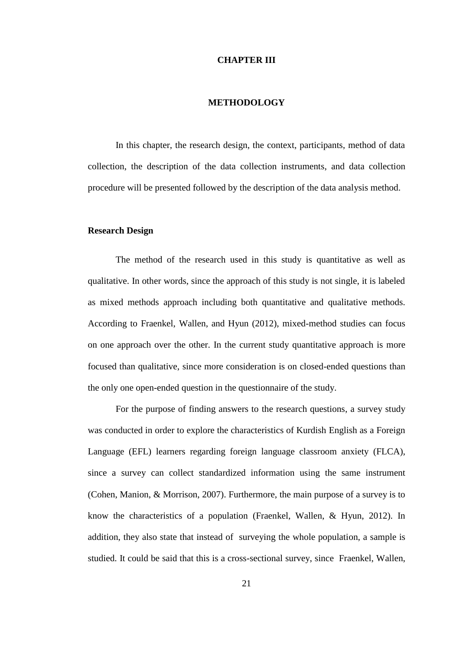#### **CHAPTER III**

#### **METHODOLOGY**

In this chapter, the research design, the context, participants, method of data collection, the description of the data collection instruments, and data collection procedure will be presented followed by the description of the data analysis method.

#### **Research Design**

The method of the research used in this study is quantitative as well as qualitative. In other words, since the approach of this study is not single, it is labeled as mixed methods approach including both quantitative and qualitative methods. According to Fraenkel, Wallen, and Hyun (2012), mixed-method studies can focus on one approach over the other. In the current study quantitative approach is more focused than qualitative, since more consideration is on closed-ended questions than the only one open-ended question in the questionnaire of the study.

For the purpose of finding answers to the research questions, a survey study was conducted in order to explore the characteristics of Kurdish English as a Foreign Language (EFL) learners regarding foreign language classroom anxiety (FLCA), since a survey can collect standardized information using the same instrument (Cohen, Manion, & Morrison, 2007). Furthermore, the main purpose of a survey is to know the characteristics of a population (Fraenkel, Wallen, & Hyun, 2012). In addition, they also state that instead of surveying the whole population, a sample is studied. It could be said that this is a cross-sectional survey, since Fraenkel, Wallen,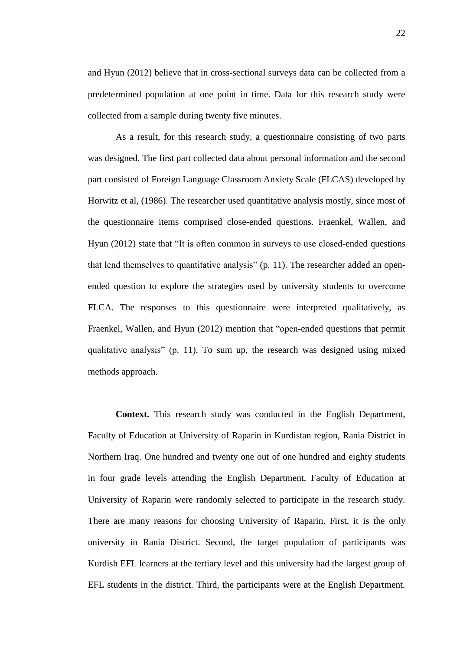and Hyun (2012) believe that in cross-sectional surveys data can be collected from a predetermined population at one point in time. Data for this research study were collected from a sample during twenty five minutes.

As a result, for this research study, a questionnaire consisting of two parts was designed. The first part collected data about personal information and the second part consisted of Foreign Language Classroom Anxiety Scale (FLCAS) developed by Horwitz et al, (1986). The researcher used quantitative analysis mostly, since most of the questionnaire items comprised close-ended questions. Fraenkel, Wallen, and Hyun (2012) state that "It is often common in surveys to use closed-ended questions that lend themselves to quantitative analysis" (p. 11). The researcher added an openended question to explore the strategies used by university students to overcome FLCA. The responses to this questionnaire were interpreted qualitatively, as Fraenkel, Wallen, and Hyun (2012) mention that "open-ended questions that permit qualitative analysis" (p. 11). To sum up, the research was designed using mixed methods approach.

**Context.** This research study was conducted in the English Department, Faculty of Education at University of Raparin in Kurdistan region, Rania District in Northern Iraq. One hundred and twenty one out of one hundred and eighty students in four grade levels attending the English Department, Faculty of Education at University of Raparin were randomly selected to participate in the research study. There are many reasons for choosing University of Raparin. First, it is the only university in Rania District. Second, the target population of participants was Kurdish EFL learners at the tertiary level and this university had the largest group of EFL students in the district. Third, the participants were at the English Department.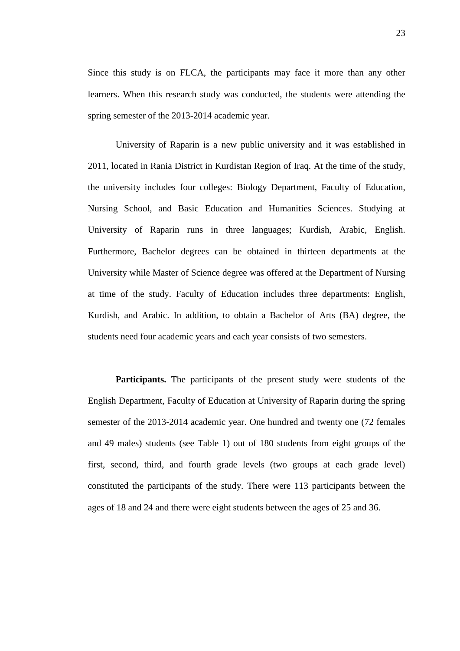Since this study is on FLCA, the participants may face it more than any other learners. When this research study was conducted, the students were attending the spring semester of the 2013-2014 academic year.

University of Raparin is a new public university and it was established in 2011, located in Rania District in Kurdistan Region of Iraq. At the time of the study, the university includes four colleges: Biology Department, Faculty of Education, Nursing School, and Basic Education and Humanities Sciences. Studying at University of Raparin runs in three languages; Kurdish, Arabic, English. Furthermore, Bachelor degrees can be obtained in thirteen departments at the University while Master of Science degree was offered at the Department of Nursing at time of the study. Faculty of Education includes three departments: English, Kurdish, and Arabic. In addition, to obtain a Bachelor of Arts (BA) degree, the students need four academic years and each year consists of two semesters.

Participants. The participants of the present study were students of the English Department, Faculty of Education at University of Raparin during the spring semester of the 2013-2014 academic year. One hundred and twenty one (72 females and 49 males) students (see Table 1) out of 180 students from eight groups of the first, second, third, and fourth grade levels (two groups at each grade level) constituted the participants of the study. There were 113 participants between the ages of 18 and 24 and there were eight students between the ages of 25 and 36.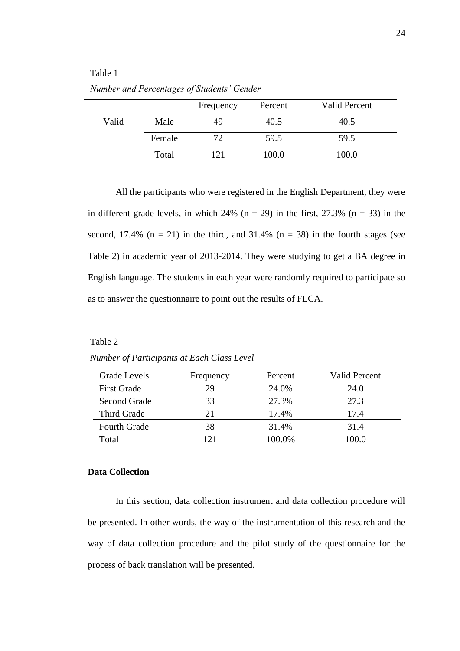# Table 1

|       |        | Frequency | Percent | <b>Valid Percent</b> |
|-------|--------|-----------|---------|----------------------|
| Valid | Male   | 49        | 40.5    | 40.5                 |
|       | Female | 72        | 59.5    | 59.5                 |
|       | Total  | 121       | 100.0   | 100.0                |

*Number and Percentages of Students' Gender*

All the participants who were registered in the English Department, they were in different grade levels, in which  $24\%$  (n = 29) in the first, 27.3% (n = 33) in the second, 17.4%  $(n = 21)$  in the third, and 31.4%  $(n = 38)$  in the fourth stages (see Table 2) in academic year of 2013-2014. They were studying to get a BA degree in English language. The students in each year were randomly required to participate so as to answer the questionnaire to point out the results of FLCA.

Table 2

*Number of Participants at Each Class Level*

| Grade Levels        | Frequency | Percent | <b>Valid Percent</b> |
|---------------------|-----------|---------|----------------------|
| <b>First Grade</b>  | 29        | 24.0%   | 24.0                 |
| Second Grade        | 33        | 27.3%   | 27.3                 |
| Third Grade         | 21        | 17.4%   | 17.4                 |
| <b>Fourth Grade</b> | 38        | 31.4%   | 31.4                 |
| Total               |           | 100.0%  | (0()()               |

### **Data Collection**

In this section, data collection instrument and data collection procedure will be presented. In other words, the way of the instrumentation of this research and the way of data collection procedure and the pilot study of the questionnaire for the process of back translation will be presented.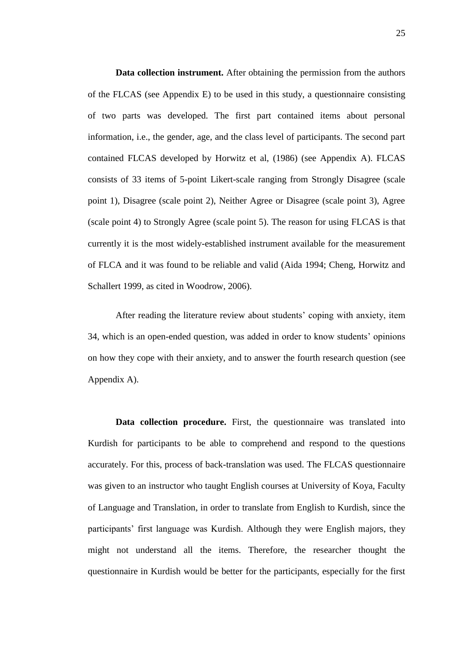**Data collection instrument.** After obtaining the permission from the authors of the FLCAS (see Appendix E) to be used in this study, a questionnaire consisting of two parts was developed. The first part contained items about personal information, i.e., the gender, age, and the class level of participants. The second part contained FLCAS developed by Horwitz et al, (1986) (see Appendix A). FLCAS consists of 33 items of 5-point Likert-scale ranging from Strongly Disagree (scale point 1), Disagree (scale point 2), Neither Agree or Disagree (scale point 3), Agree (scale point 4) to Strongly Agree (scale point 5). The reason for using FLCAS is that currently it is the most widely-established instrument available for the measurement of FLCA and it was found to be reliable and valid (Aida 1994; Cheng, Horwitz and Schallert 1999, as cited in Woodrow, 2006).

After reading the literature review about students' coping with anxiety, item 34, which is an open-ended question, was added in order to know students' opinions on how they cope with their anxiety, and to answer the fourth research question (see Appendix A).

Data collection procedure. First, the questionnaire was translated into Kurdish for participants to be able to comprehend and respond to the questions accurately. For this, process of back-translation was used. The FLCAS questionnaire was given to an instructor who taught English courses at University of Koya, Faculty of Language and Translation, in order to translate from English to Kurdish, since the participants' first language was Kurdish. Although they were English majors, they might not understand all the items. Therefore, the researcher thought the questionnaire in Kurdish would be better for the participants, especially for the first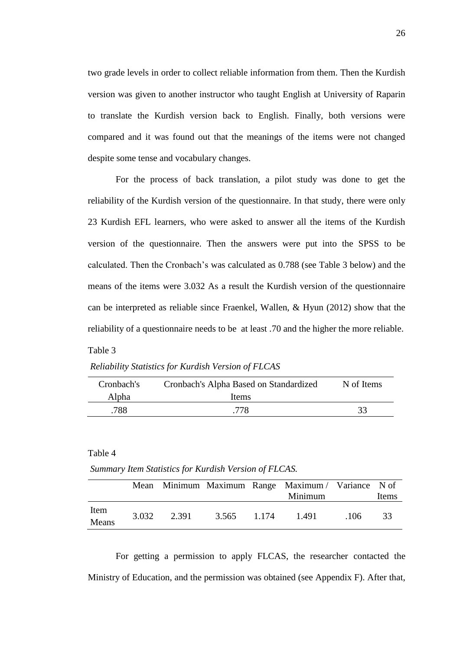two grade levels in order to collect reliable information from them. Then the Kurdish version was given to another instructor who taught English at University of Raparin to translate the Kurdish version back to English. Finally, both versions were compared and it was found out that the meanings of the items were not changed despite some tense and vocabulary changes.

For the process of back translation, a pilot study was done to get the reliability of the Kurdish version of the questionnaire. In that study, there were only 23 Kurdish EFL learners, who were asked to answer all the items of the Kurdish version of the questionnaire. Then the answers were put into the SPSS to be calculated. Then the Cronbach's was calculated as 0.788 (see Table 3 below) and the means of the items were 3.032 As a result the Kurdish version of the questionnaire can be interpreted as reliable since Fraenkel, Wallen, & Hyun (2012) show that the reliability of a questionnaire needs to be at least .70 and the higher the more reliable. Table 3

*Reliability Statistics for Kurdish Version of FLCAS*

| Cronbach's | Cronbach's Alpha Based on Standardized | N of Items |
|------------|----------------------------------------|------------|
| Alpha      | Items                                  |            |
| .788       | .778                                   | 33         |

Table 4

*Summary Item Statistics for Kurdish Version of FLCAS.*

|               |       |       |             | Mean Minimum Maximum Range Maximum / Variance N of<br>Minimum |     | Items |
|---------------|-------|-------|-------------|---------------------------------------------------------------|-----|-------|
| Item<br>Means | 3.032 | 2.391 | 3.565 1.174 | 1.491                                                         | ୀ06 | 33    |

For getting a permission to apply FLCAS, the researcher contacted the Ministry of Education, and the permission was obtained (see Appendix F). After that,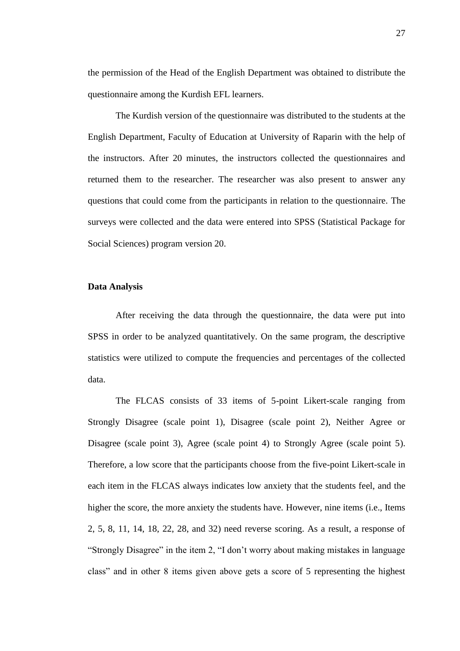the permission of the Head of the English Department was obtained to distribute the questionnaire among the Kurdish EFL learners.

The Kurdish version of the questionnaire was distributed to the students at the English Department, Faculty of Education at University of Raparin with the help of the instructors. After 20 minutes, the instructors collected the questionnaires and returned them to the researcher. The researcher was also present to answer any questions that could come from the participants in relation to the questionnaire. The surveys were collected and the data were entered into SPSS (Statistical Package for Social Sciences) program version 20.

### **Data Analysis**

After receiving the data through the questionnaire, the data were put into SPSS in order to be analyzed quantitatively. On the same program, the descriptive statistics were utilized to compute the frequencies and percentages of the collected data.

The FLCAS consists of 33 items of 5-point Likert-scale ranging from Strongly Disagree (scale point 1), Disagree (scale point 2), Neither Agree or Disagree (scale point 3), Agree (scale point 4) to Strongly Agree (scale point 5). Therefore, a low score that the participants choose from the five-point Likert-scale in each item in the FLCAS always indicates low anxiety that the students feel, and the higher the score, the more anxiety the students have. However, nine items (i.e., Items 2, 5, 8, 11, 14, 18, 22, 28, and 32) need reverse scoring. As a result, a response of "Strongly Disagree" in the item 2, "I don't worry about making mistakes in language class" and in other 8 items given above gets a score of 5 representing the highest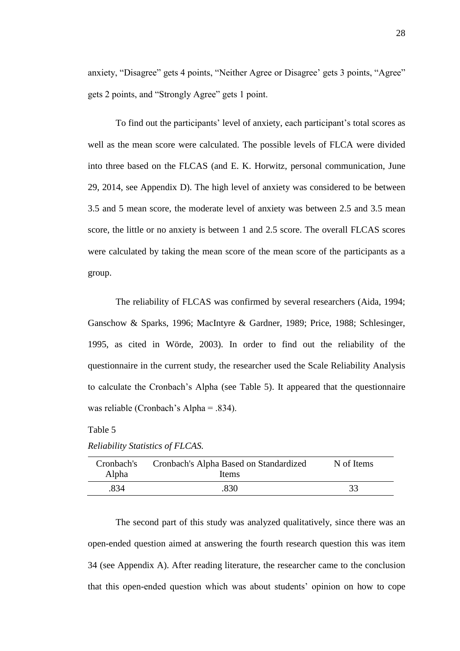anxiety, "Disagree" gets 4 points, "Neither Agree or Disagree' gets 3 points, "Agree" gets 2 points, and "Strongly Agree" gets 1 point.

To find out the participants' level of anxiety, each participant's total scores as well as the mean score were calculated. The possible levels of FLCA were divided into three based on the FLCAS (and E. K. Horwitz, personal communication, June 29, 2014, see Appendix D). The high level of anxiety was considered to be between 3.5 and 5 mean score, the moderate level of anxiety was between 2.5 and 3.5 mean score, the little or no anxiety is between 1 and 2.5 score. The overall FLCAS scores were calculated by taking the mean score of the mean score of the participants as a group.

The reliability of FLCAS was confirmed by several researchers (Aida, 1994; Ganschow & Sparks, 1996; MacIntyre & Gardner, 1989; Price, 1988; Schlesinger, 1995, as cited in Wörde, 2003). In order to find out the reliability of the questionnaire in the current study, the researcher used the Scale Reliability Analysis to calculate the Cronbach's Alpha (see Table 5). It appeared that the questionnaire was reliable (Cronbach's Alpha = .834).

### Table 5

| Cronbach's<br>Alpha | Cronbach's Alpha Based on Standardized<br>Items | N of Items |
|---------------------|-------------------------------------------------|------------|
| .834                | .830                                            | 33         |

|  | Reliability Statistics of FLCAS. |
|--|----------------------------------|
|  |                                  |

The second part of this study was analyzed qualitatively, since there was an open-ended question aimed at answering the fourth research question this was item 34 (see Appendix A). After reading literature, the researcher came to the conclusion that this open-ended question which was about students' opinion on how to cope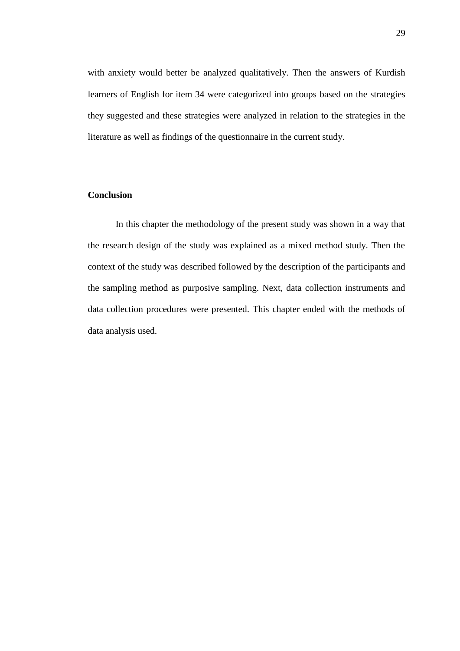with anxiety would better be analyzed qualitatively. Then the answers of Kurdish learners of English for item 34 were categorized into groups based on the strategies they suggested and these strategies were analyzed in relation to the strategies in the literature as well as findings of the questionnaire in the current study.

# **Conclusion**

In this chapter the methodology of the present study was shown in a way that the research design of the study was explained as a mixed method study. Then the context of the study was described followed by the description of the participants and the sampling method as purposive sampling. Next, data collection instruments and data collection procedures were presented. This chapter ended with the methods of data analysis used.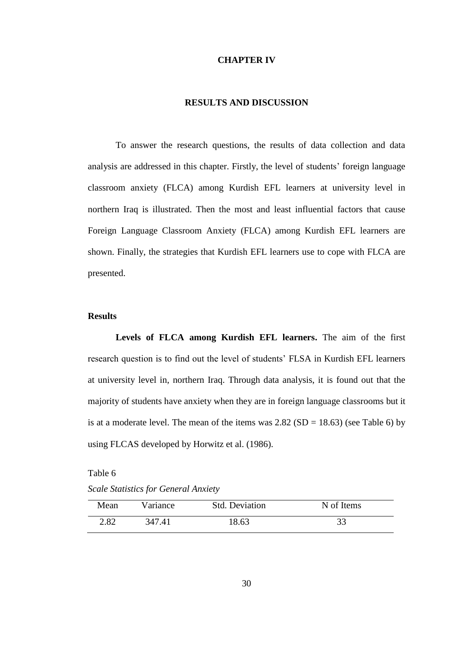### **CHAPTER IV**

### **RESULTS AND DISCUSSION**

To answer the research questions, the results of data collection and data analysis are addressed in this chapter. Firstly, the level of students' foreign language classroom anxiety (FLCA) among Kurdish EFL learners at university level in northern Iraq is illustrated. Then the most and least influential factors that cause Foreign Language Classroom Anxiety (FLCA) among Kurdish EFL learners are shown. Finally, the strategies that Kurdish EFL learners use to cope with FLCA are presented.

### **Results**

**Levels of FLCA among Kurdish EFL learners.** The aim of the first research question is to find out the level of students' FLSA in Kurdish EFL learners at university level in, northern Iraq. Through data analysis, it is found out that the majority of students have anxiety when they are in foreign language classrooms but it is at a moderate level. The mean of the items was  $2.82$  (SD = 18.63) (see Table 6) by using FLCAS developed by Horwitz et al. (1986).

### Table 6

*Scale Statistics for General Anxiety*

| Mean | Variance | <b>Std. Deviation</b> | N of Items |  |
|------|----------|-----------------------|------------|--|
| 2.82 | 347.41   | 18.63                 |            |  |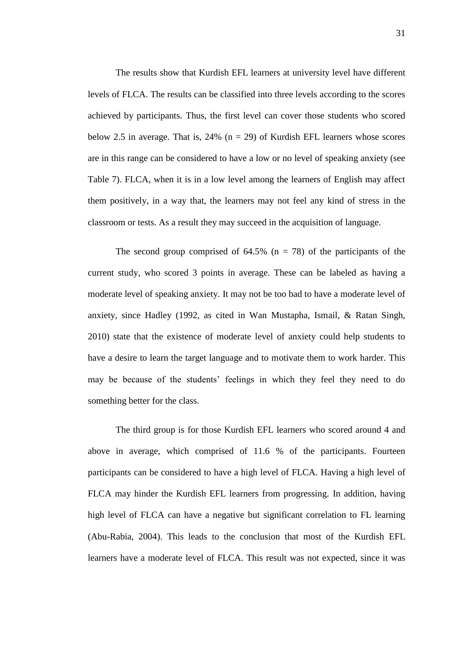The results show that Kurdish EFL learners at university level have different levels of FLCA. The results can be classified into three levels according to the scores achieved by participants. Thus, the first level can cover those students who scored below 2.5 in average. That is,  $24\%$  (n = 29) of Kurdish EFL learners whose scores are in this range can be considered to have a low or no level of speaking anxiety (see Table 7). FLCA, when it is in a low level among the learners of English may affect them positively, in a way that, the learners may not feel any kind of stress in the classroom or tests. As a result they may succeed in the acquisition of language.

The second group comprised of  $64.5\%$  (n = 78) of the participants of the current study, who scored 3 points in average. These can be labeled as having a moderate level of speaking anxiety. It may not be too bad to have a moderate level of anxiety, since Hadley (1992, as cited in Wan Mustapha, Ismail, & Ratan Singh, 2010) state that the existence of moderate level of anxiety could help students to have a desire to learn the target language and to motivate them to work harder. This may be because of the students' feelings in which they feel they need to do something better for the class.

The third group is for those Kurdish EFL learners who scored around 4 and above in average, which comprised of 11.6 % of the participants. Fourteen participants can be considered to have a high level of FLCA. Having a high level of FLCA may hinder the Kurdish EFL learners from progressing. In addition, having high level of FLCA can have a negative but significant correlation to FL learning (Abu-Rabia, 2004). This leads to the conclusion that most of the Kurdish EFL learners have a moderate level of FLCA. This result was not expected, since it was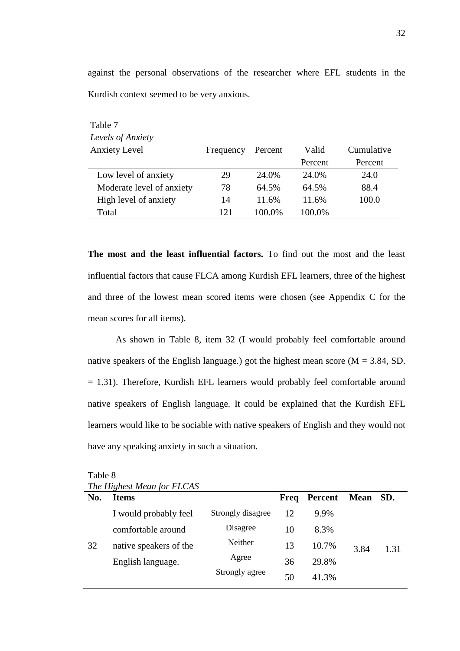| Levels of Anxiety         |           |         |         |            |
|---------------------------|-----------|---------|---------|------------|
| <b>Anxiety Level</b>      | Frequency | Percent | Valid   | Cumulative |
|                           |           |         | Percent | Percent    |
| Low level of anxiety      | 29        | 24.0%   | 24.0%   | 24.0       |
| Moderate level of anxiety | 78        | 64.5%   | 64.5%   | 88.4       |
| High level of anxiety     | 14        | 11.6%   | 11.6%   | 100.0      |
| Total                     | 121       | 100.0%  | 100.0%  |            |

against the personal observations of the researcher where EFL students in the Kurdish context seemed to be very anxious.

**The most and the least influential factors.** To find out the most and the least influential factors that cause FLCA among Kurdish EFL learners, three of the highest and three of the lowest mean scored items were chosen (see Appendix C for the mean scores for all items).

As shown in Table 8, item 32 (I would probably feel comfortable around native speakers of the English language.) got the highest mean score ( $M = 3.84$ , SD. = 1.31). Therefore, Kurdish EFL learners would probably feel comfortable around native speakers of English language. It could be explained that the Kurdish EFL learners would like to be sociable with native speakers of English and they would not have any speaking anxiety in such a situation.

|     | The Highest Mean for FLCAS |                   |      |         |             |      |  |
|-----|----------------------------|-------------------|------|---------|-------------|------|--|
| No. | <b>Items</b>               |                   | Freq | Percent | <b>Mean</b> | SD.  |  |
|     | I would probably feel      | Strongly disagree | 12   | 9.9%    |             |      |  |
|     | comfortable around         | Disagree          | 10   | 8.3%    |             |      |  |
| 32  | native speakers of the     | Neither           | 13   | 10.7%   | 3.84        | 1.31 |  |
|     | English language.          | Agree             | 36   | 29.8%   |             |      |  |
|     |                            | Strongly agree    | 50   | 41.3%   |             |      |  |

Table 8  $\overline{C}$  FLCAS

Table 7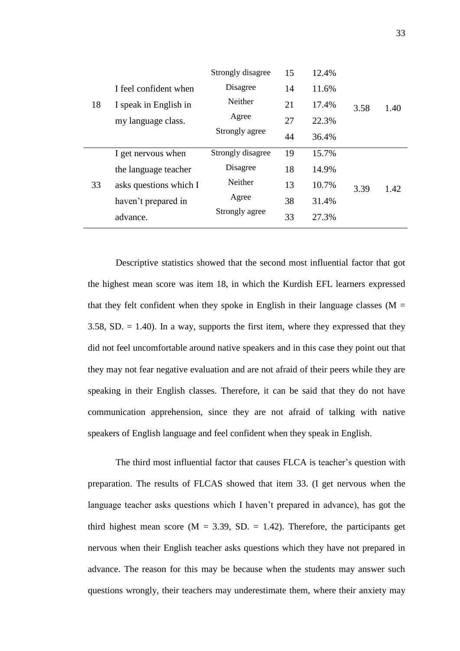|    |                        | Strongly disagree | 15 | 12.4% |      |      |
|----|------------------------|-------------------|----|-------|------|------|
|    | I feel confident when  | Disagree          | 14 | 11.6% |      |      |
| 18 | I speak in English in  | Neither           | 21 | 17.4% | 3.58 | 1.40 |
|    | my language class.     | Agree             | 27 | 22.3% |      |      |
|    |                        | Strongly agree    | 44 | 36.4% |      |      |
|    | I get nervous when     | Strongly disagree | 19 | 15.7% |      |      |
|    | the language teacher   | Disagree          | 18 | 14.9% |      |      |
| 33 | asks questions which I | Neither           | 13 | 10.7% | 3.39 | 1.42 |
|    | haven't prepared in    | Agree             | 38 | 31.4% |      |      |
|    | advance.               | Strongly agree    | 33 | 27.3% |      |      |
|    |                        |                   |    |       |      |      |

Descriptive statistics showed that the second most influential factor that got the highest mean score was item 18, in which the Kurdish EFL learners expressed that they felt confident when they spoke in English in their language classes ( $M =$ 3.58, SD.  $= 1.40$ ). In a way, supports the first item, where they expressed that they did not feel uncomfortable around native speakers and in this case they point out that they may not fear negative evaluation and are not afraid of their peers while they are speaking in their English classes. Therefore, it can be said that they do not have communication apprehension, since they are not afraid of talking with native speakers of English language and feel confident when they speak in English.

The third most influential factor that causes FLCA is teacher's question with preparation. The results of FLCAS showed that item 33. (I get nervous when the language teacher asks questions which I haven't prepared in advance), has got the third highest mean score ( $M = 3.39$ , SD. = 1.42). Therefore, the participants get nervous when their English teacher asks questions which they have not prepared in advance. The reason for this may be because when the students may answer such questions wrongly, their teachers may underestimate them, where their anxiety may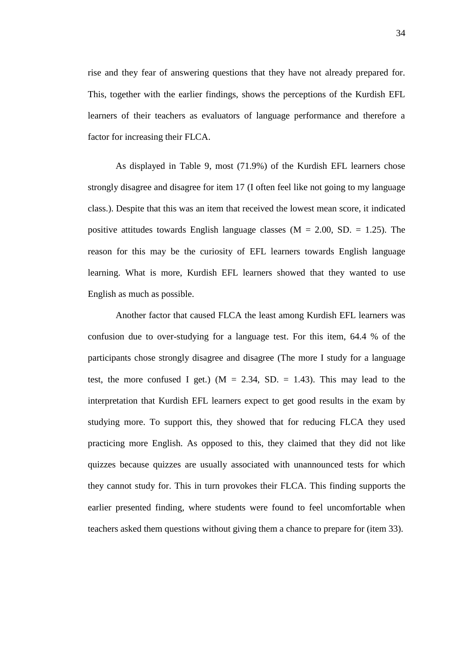rise and they fear of answering questions that they have not already prepared for. This, together with the earlier findings, shows the perceptions of the Kurdish EFL learners of their teachers as evaluators of language performance and therefore a factor for increasing their FLCA.

As displayed in Table 9, most (71.9%) of the Kurdish EFL learners chose strongly disagree and disagree for item 17 (I often feel like not going to my language class.). Despite that this was an item that received the lowest mean score, it indicated positive attitudes towards English language classes  $(M = 2.00, SD = 1.25)$ . The reason for this may be the curiosity of EFL learners towards English language learning. What is more, Kurdish EFL learners showed that they wanted to use English as much as possible.

Another factor that caused FLCA the least among Kurdish EFL learners was confusion due to over-studying for a language test. For this item, 64.4 % of the participants chose strongly disagree and disagree (The more I study for a language test, the more confused I get.) ( $M = 2.34$ , SD. = 1.43). This may lead to the interpretation that Kurdish EFL learners expect to get good results in the exam by studying more. To support this, they showed that for reducing FLCA they used practicing more English. As opposed to this, they claimed that they did not like quizzes because quizzes are usually associated with unannounced tests for which they cannot study for. This in turn provokes their FLCA. This finding supports the earlier presented finding, where students were found to feel uncomfortable when teachers asked them questions without giving them a chance to prepare for (item 33).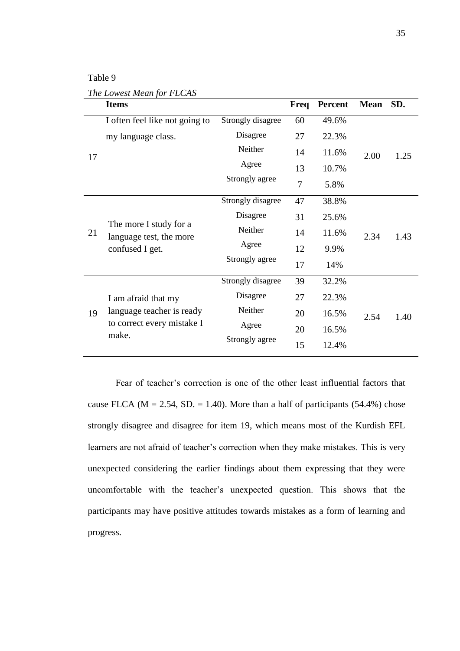# Table 9

*The Lowest Mean for FLCAS*

|    | <b>Items</b>                                                         |                   | Freq           | <b>Percent</b> | <b>Mean</b> | SD.  |
|----|----------------------------------------------------------------------|-------------------|----------------|----------------|-------------|------|
|    | I often feel like not going to                                       | Strongly disagree | 60             | 49.6%          |             |      |
| 17 | my language class.                                                   | Disagree          | 27             | 22.3%          |             |      |
|    |                                                                      | Neither           | 14             | 11.6%          | 2.00        | 1.25 |
|    |                                                                      | Agree             | 13             | 10.7%          |             |      |
|    |                                                                      | Strongly agree    | $\overline{7}$ | 5.8%           |             |      |
|    |                                                                      | Strongly disagree | 47             | 38.8%          |             |      |
|    | The more I study for a<br>language test, the more<br>confused I get. | Disagree          | 31             | 25.6%          |             |      |
| 21 |                                                                      | Neither           | 14             | 11.6%          | 2.34        | 1.43 |
|    |                                                                      | Agree             | 12             | 9.9%           |             |      |
|    |                                                                      | Strongly agree    | 17             | 14%            |             |      |
|    |                                                                      | Strongly disagree | 39             | 32.2%          |             |      |
|    | I am afraid that my                                                  | Disagree          | 27             | 22.3%          |             |      |
| 19 | language teacher is ready                                            | Neither           | 20             | 16.5%          | 2.54        | 1.40 |
|    | to correct every mistake I                                           | Agree             | 20             | 16.5%          |             |      |
|    | make.                                                                | Strongly agree    | 15             | 12.4%          |             |      |

Fear of teacher's correction is one of the other least influential factors that cause FLCA ( $M = 2.54$ , SD. = 1.40). More than a half of participants (54.4%) chose strongly disagree and disagree for item 19, which means most of the Kurdish EFL learners are not afraid of teacher's correction when they make mistakes. This is very unexpected considering the earlier findings about them expressing that they were uncomfortable with the teacher's unexpected question. This shows that the participants may have positive attitudes towards mistakes as a form of learning and progress.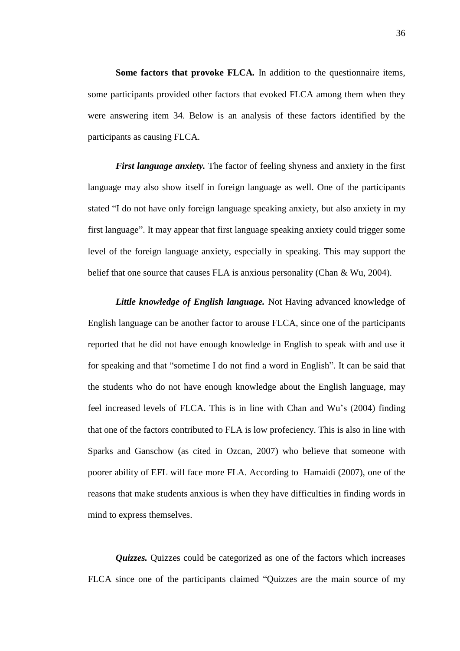**Some factors that provoke FLCA***.* In addition to the questionnaire items, some participants provided other factors that evoked FLCA among them when they were answering item 34. Below is an analysis of these factors identified by the participants as causing FLCA.

*First language anxiety.* The factor of feeling shyness and anxiety in the first language may also show itself in foreign language as well. One of the participants stated "I do not have only foreign language speaking anxiety, but also anxiety in my first language". It may appear that first language speaking anxiety could trigger some level of the foreign language anxiety, especially in speaking. This may support the belief that one source that causes FLA is anxious personality (Chan & Wu, 2004).

*Little knowledge of English language.* Not Having advanced knowledge of English language can be another factor to arouse FLCA, since one of the participants reported that he did not have enough knowledge in English to speak with and use it for speaking and that "sometime I do not find a word in English". It can be said that the students who do not have enough knowledge about the English language, may feel increased levels of FLCA. This is in line with Chan and Wu's (2004) finding that one of the factors contributed to FLA is low profeciency. This is also in line with Sparks and Ganschow (as cited in Ozcan, 2007) who believe that someone with poorer ability of EFL will face more FLA. According to Hamaidi (2007), one of the reasons that make students anxious is when they have difficulties in finding words in mind to express themselves.

*Quizzes.* Quizzes could be categorized as one of the factors which increases FLCA since one of the participants claimed "Quizzes are the main source of my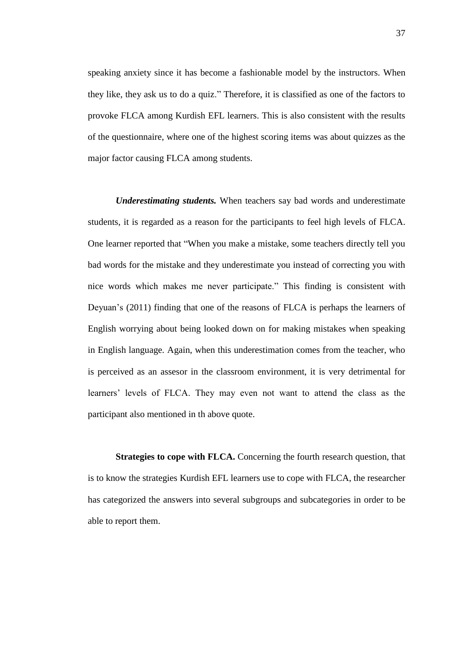speaking anxiety since it has become a fashionable model by the instructors. When they like, they ask us to do a quiz." Therefore, it is classified as one of the factors to provoke FLCA among Kurdish EFL learners. This is also consistent with the results of the questionnaire, where one of the highest scoring items was about quizzes as the major factor causing FLCA among students.

*Underestimating students.* When teachers say bad words and underestimate students, it is regarded as a reason for the participants to feel high levels of FLCA. One learner reported that "When you make a mistake, some teachers directly tell you bad words for the mistake and they underestimate you instead of correcting you with nice words which makes me never participate." This finding is consistent with Deyuan's (2011) finding that one of the reasons of FLCA is perhaps the learners of English worrying about being looked down on for making mistakes when speaking in English language. Again, when this underestimation comes from the teacher, who is perceived as an assesor in the classroom environment, it is very detrimental for learners' levels of FLCA. They may even not want to attend the class as the participant also mentioned in th above quote.

**Strategies to cope with FLCA.** Concerning the fourth research question, that is to know the strategies Kurdish EFL learners use to cope with FLCA, the researcher has categorized the answers into several subgroups and subcategories in order to be able to report them.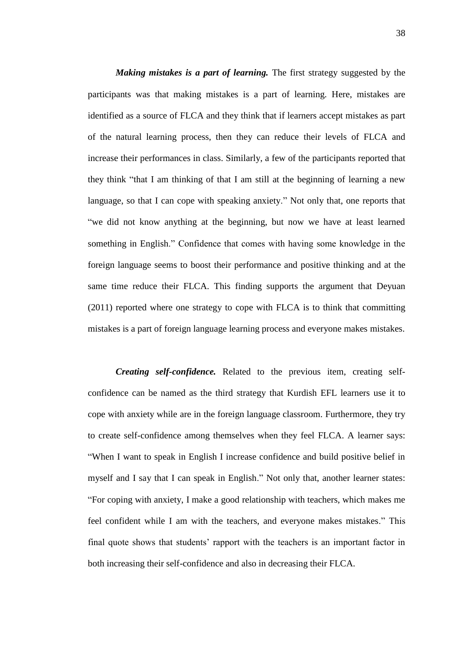*Making mistakes is a part of learning.* The first strategy suggested by the participants was that making mistakes is a part of learning. Here, mistakes are identified as a source of FLCA and they think that if learners accept mistakes as part of the natural learning process, then they can reduce their levels of FLCA and increase their performances in class. Similarly, a few of the participants reported that they think "that I am thinking of that I am still at the beginning of learning a new language, so that I can cope with speaking anxiety." Not only that, one reports that "we did not know anything at the beginning, but now we have at least learned something in English." Confidence that comes with having some knowledge in the foreign language seems to boost their performance and positive thinking and at the same time reduce their FLCA. This finding supports the argument that Deyuan (2011) reported where one strategy to cope with FLCA is to think that committing mistakes is a part of foreign language learning process and everyone makes mistakes.

*Creating self-confidence.* Related to the previous item, creating selfconfidence can be named as the third strategy that Kurdish EFL learners use it to cope with anxiety while are in the foreign language classroom. Furthermore, they try to create self-confidence among themselves when they feel FLCA. A learner says: "When I want to speak in English I increase confidence and build positive belief in myself and I say that I can speak in English." Not only that, another learner states: "For coping with anxiety, I make a good relationship with teachers, which makes me feel confident while I am with the teachers, and everyone makes mistakes." This final quote shows that students' rapport with the teachers is an important factor in both increasing their self-confidence and also in decreasing their FLCA.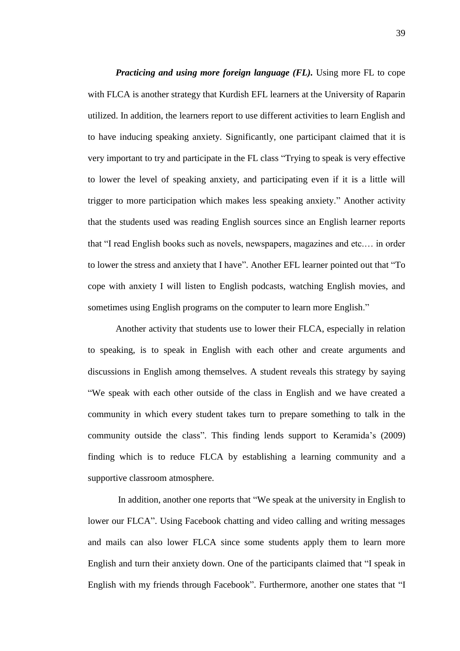*Practicing and using more foreign language (FL).* Using more FL to cope with FLCA is another strategy that Kurdish EFL learners at the University of Raparin utilized. In addition, the learners report to use different activities to learn English and to have inducing speaking anxiety. Significantly, one participant claimed that it is very important to try and participate in the FL class "Trying to speak is very effective to lower the level of speaking anxiety, and participating even if it is a little will trigger to more participation which makes less speaking anxiety." Another activity that the students used was reading English sources since an English learner reports that "I read English books such as novels, newspapers, magazines and etc.… in order to lower the stress and anxiety that I have". Another EFL learner pointed out that "To cope with anxiety I will listen to English podcasts, watching English movies, and sometimes using English programs on the computer to learn more English."

Another activity that students use to lower their FLCA, especially in relation to speaking, is to speak in English with each other and create arguments and discussions in English among themselves. A student reveals this strategy by saying "We speak with each other outside of the class in English and we have created a community in which every student takes turn to prepare something to talk in the community outside the class". This finding lends support to Keramida's (2009) finding which is to reduce FLCA by establishing a learning community and a supportive classroom atmosphere.

In addition, another one reports that "We speak at the university in English to lower our FLCA". Using Facebook chatting and video calling and writing messages and mails can also lower FLCA since some students apply them to learn more English and turn their anxiety down. One of the participants claimed that "I speak in English with my friends through Facebook". Furthermore, another one states that "I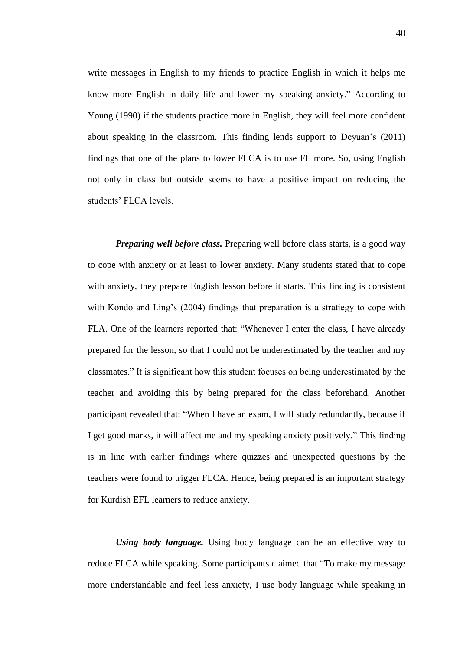write messages in English to my friends to practice English in which it helps me know more English in daily life and lower my speaking anxiety." According to Young (1990) if the students practice more in English, they will feel more confident about speaking in the classroom. This finding lends support to Deyuan's (2011) findings that one of the plans to lower FLCA is to use FL more. So, using English not only in class but outside seems to have a positive impact on reducing the students' FLCA levels.

*Preparing well before class.* Preparing well before class starts, is a good way to cope with anxiety or at least to lower anxiety. Many students stated that to cope with anxiety, they prepare English lesson before it starts. This finding is consistent with Kondo and Ling's (2004) findings that preparation is a stratiegy to cope with FLA. One of the learners reported that: "Whenever I enter the class, I have already prepared for the lesson, so that I could not be underestimated by the teacher and my classmates." It is significant how this student focuses on being underestimated by the teacher and avoiding this by being prepared for the class beforehand. Another participant revealed that: "When I have an exam, I will study redundantly, because if I get good marks, it will affect me and my speaking anxiety positively." This finding is in line with earlier findings where quizzes and unexpected questions by the teachers were found to trigger FLCA. Hence, being prepared is an important strategy for Kurdish EFL learners to reduce anxiety.

*Using body language.* Using body language can be an effective way to reduce FLCA while speaking. Some participants claimed that "To make my message more understandable and feel less anxiety, I use body language while speaking in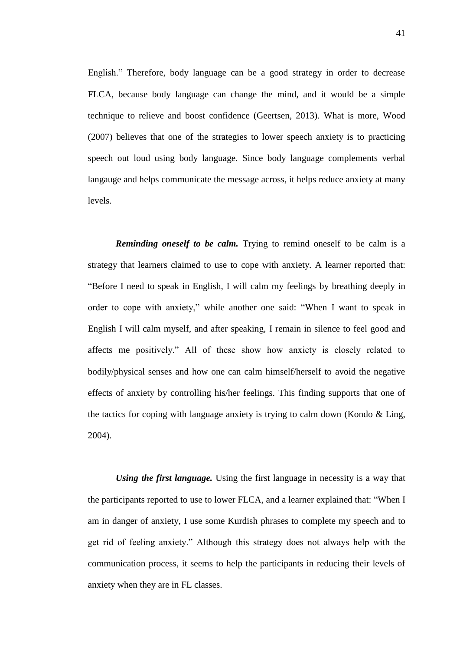English." Therefore, body language can be a good strategy in order to decrease FLCA, because body language can change the mind, and it would be a simple technique to relieve and boost confidence (Geertsen, 2013). What is more, Wood (2007) believes that one of the strategies to lower speech anxiety is to practicing speech out loud using body language. Since body language complements verbal langauge and helps communicate the message across, it helps reduce anxiety at many levels.

*Reminding oneself to be calm.* Trying to remind oneself to be calm is a strategy that learners claimed to use to cope with anxiety. A learner reported that: "Before I need to speak in English, I will calm my feelings by breathing deeply in order to cope with anxiety," while another one said: "When I want to speak in English I will calm myself, and after speaking, I remain in silence to feel good and affects me positively." All of these show how anxiety is closely related to bodily/physical senses and how one can calm himself/herself to avoid the negative effects of anxiety by controlling his/her feelings. This finding supports that one of the tactics for coping with language anxiety is trying to calm down (Kondo  $&$  Ling, 2004).

*Using the first language.* Using the first language in necessity is a way that the participants reported to use to lower FLCA, and a learner explained that: "When I am in danger of anxiety, I use some Kurdish phrases to complete my speech and to get rid of feeling anxiety." Although this strategy does not always help with the communication process, it seems to help the participants in reducing their levels of anxiety when they are in FL classes.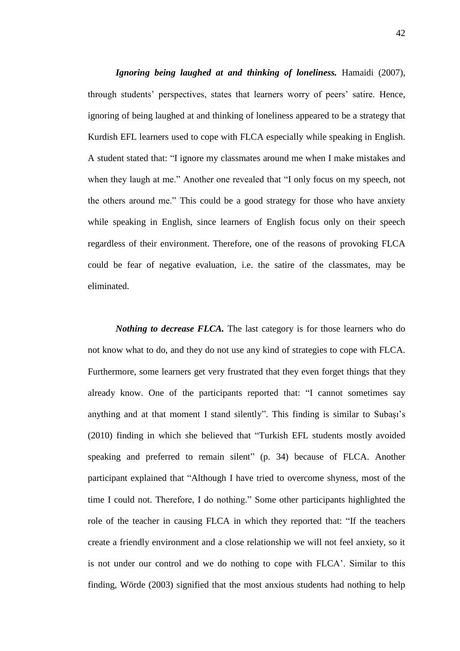*Ignoring being laughed at and thinking of loneliness.* Hamaidi (2007), through students' perspectives, states that learners worry of peers' satire. Hence, ignoring of being laughed at and thinking of loneliness appeared to be a strategy that Kurdish EFL learners used to cope with FLCA especially while speaking in English. A student stated that: "I ignore my classmates around me when I make mistakes and when they laugh at me." Another one revealed that "I only focus on my speech, not the others around me." This could be a good strategy for those who have anxiety while speaking in English, since learners of English focus only on their speech regardless of their environment. Therefore, one of the reasons of provoking FLCA could be fear of negative evaluation, i.e. the satire of the classmates, may be eliminated.

*Nothing to decrease FLCA.* The last category is for those learners who do not know what to do, and they do not use any kind of strategies to cope with FLCA. Furthermore, some learners get very frustrated that they even forget things that they already know. One of the participants reported that: "I cannot sometimes say anything and at that moment I stand silently". This finding is similar to Subaşı's (2010) finding in which she believed that "Turkish EFL students mostly avoided speaking and preferred to remain silent" (p. 34) because of FLCA. Another participant explained that "Although I have tried to overcome shyness, most of the time I could not. Therefore, I do nothing." Some other participants highlighted the role of the teacher in causing FLCA in which they reported that: "If the teachers create a friendly environment and a close relationship we will not feel anxiety, so it is not under our control and we do nothing to cope with FLCA'. Similar to this finding, Wörde (2003) signified that the most anxious students had nothing to help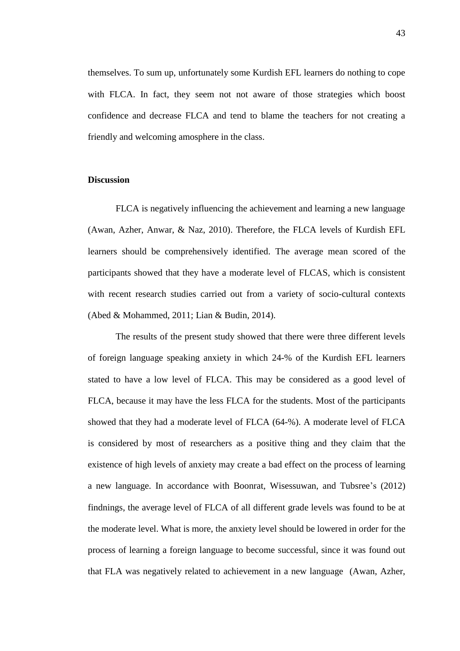themselves. To sum up, unfortunately some Kurdish EFL learners do nothing to cope with FLCA. In fact, they seem not not aware of those strategies which boost confidence and decrease FLCA and tend to blame the teachers for not creating a friendly and welcoming amosphere in the class.

#### **Discussion**

FLCA is negatively influencing the achievement and learning a new language (Awan, Azher, Anwar, & Naz, 2010). Therefore, the FLCA levels of Kurdish EFL learners should be comprehensively identified. The average mean scored of the participants showed that they have a moderate level of FLCAS, which is consistent with recent research studies carried out from a variety of socio-cultural contexts (Abed & Mohammed, 2011; Lian & Budin, 2014).

The results of the present study showed that there were three different levels of foreign language speaking anxiety in which 24-% of the Kurdish EFL learners stated to have a low level of FLCA. This may be considered as a good level of FLCA, because it may have the less FLCA for the students. Most of the participants showed that they had a moderate level of FLCA (64-%). A moderate level of FLCA is considered by most of researchers as a positive thing and they claim that the existence of high levels of anxiety may create a bad effect on the process of learning a new language. In accordance with Boonrat, Wisessuwan, and Tubsree's (2012) findnings, the average level of FLCA of all different grade levels was found to be at the moderate level. What is more, the anxiety level should be lowered in order for the process of learning a foreign language to become successful, since it was found out that FLA was negatively related to achievement in a new language (Awan, Azher,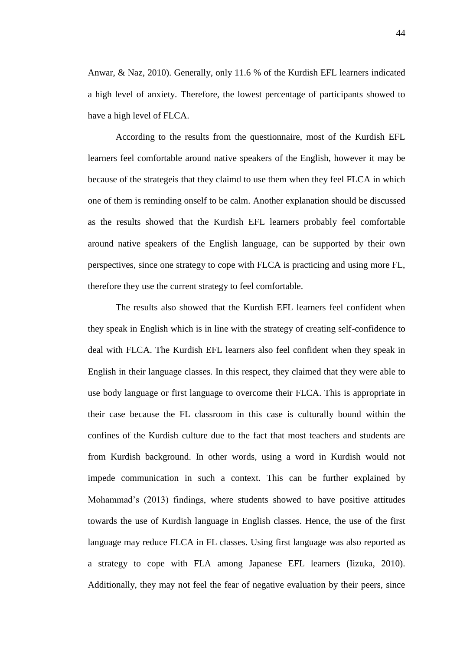Anwar, & Naz, 2010). Generally, only 11.6 % of the Kurdish EFL learners indicated a high level of anxiety. Therefore, the lowest percentage of participants showed to have a high level of FLCA.

According to the results from the questionnaire, most of the Kurdish EFL learners feel comfortable around native speakers of the English, however it may be because of the strategeis that they claimd to use them when they feel FLCA in which one of them is reminding onself to be calm. Another explanation should be discussed as the results showed that the Kurdish EFL learners probably feel comfortable around native speakers of the English language, can be supported by their own perspectives, since one strategy to cope with FLCA is practicing and using more FL, therefore they use the current strategy to feel comfortable.

The results also showed that the Kurdish EFL learners feel confident when they speak in English which is in line with the strategy of creating self-confidence to deal with FLCA. The Kurdish EFL learners also feel confident when they speak in English in their language classes. In this respect, they claimed that they were able to use body language or first language to overcome their FLCA. This is appropriate in their case because the FL classroom in this case is culturally bound within the confines of the Kurdish culture due to the fact that most teachers and students are from Kurdish background. In other words, using a word in Kurdish would not impede communication in such a context. This can be further explained by Mohammad's (2013) findings, where students showed to have positive attitudes towards the use of Kurdish language in English classes. Hence, the use of the first language may reduce FLCA in FL classes. Using first language was also reported as a strategy to cope with FLA among Japanese EFL learners (Iizuka, 2010). Additionally, they may not feel the fear of negative evaluation by their peers, since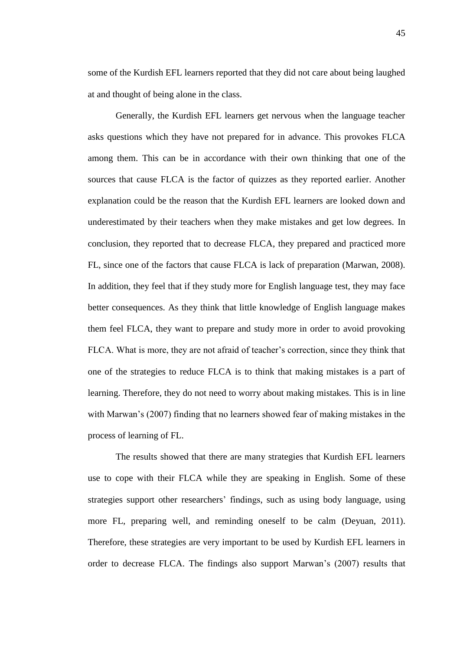some of the Kurdish EFL learners reported that they did not care about being laughed at and thought of being alone in the class.

Generally, the Kurdish EFL learners get nervous when the language teacher asks questions which they have not prepared for in advance. This provokes FLCA among them. This can be in accordance with their own thinking that one of the sources that cause FLCA is the factor of quizzes as they reported earlier. Another explanation could be the reason that the Kurdish EFL learners are looked down and underestimated by their teachers when they make mistakes and get low degrees. In conclusion, they reported that to decrease FLCA, they prepared and practiced more FL, since one of the factors that cause FLCA is lack of preparation (Marwan, 2008). In addition, they feel that if they study more for English language test, they may face better consequences. As they think that little knowledge of English language makes them feel FLCA, they want to prepare and study more in order to avoid provoking FLCA. What is more, they are not afraid of teacher's correction, since they think that one of the strategies to reduce FLCA is to think that making mistakes is a part of learning. Therefore, they do not need to worry about making mistakes. This is in line with Marwan's (2007) finding that no learners showed fear of making mistakes in the process of learning of FL.

The results showed that there are many strategies that Kurdish EFL learners use to cope with their FLCA while they are speaking in English. Some of these strategies support other researchers' findings, such as using body language, using more FL, preparing well, and reminding oneself to be calm (Deyuan, 2011). Therefore, these strategies are very important to be used by Kurdish EFL learners in order to decrease FLCA. The findings also support Marwan's (2007) results that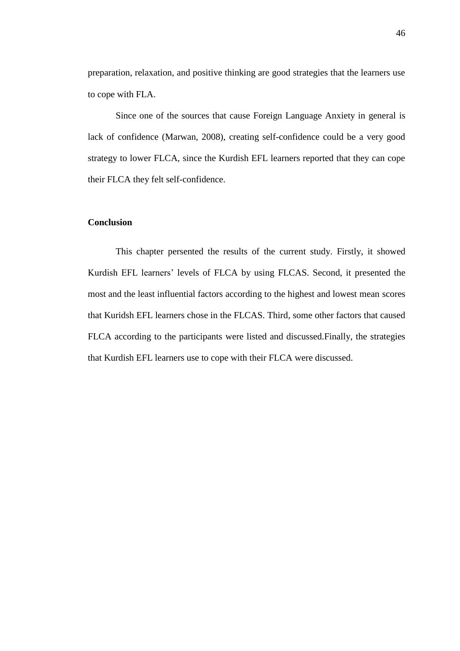preparation, relaxation, and positive thinking are good strategies that the learners use to cope with FLA.

Since one of the sources that cause Foreign Language Anxiety in general is lack of confidence (Marwan, 2008), creating self-confidence could be a very good strategy to lower FLCA, since the Kurdish EFL learners reported that they can cope their FLCA they felt self-confidence.

# **Conclusion**

This chapter persented the results of the current study. Firstly, it showed Kurdish EFL learners' levels of FLCA by using FLCAS. Second, it presented the most and the least influential factors according to the highest and lowest mean scores that Kuridsh EFL learners chose in the FLCAS. Third, some other factors that caused FLCA according to the participants were listed and discussed.Finally, the strategies that Kurdish EFL learners use to cope with their FLCA were discussed.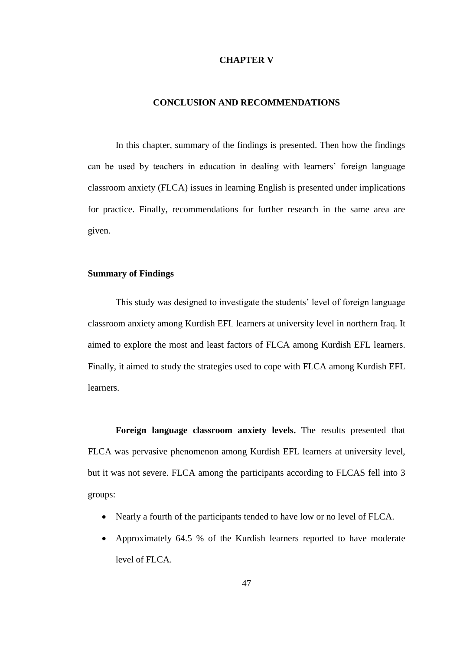### **CHAPTER V**

### **CONCLUSION AND RECOMMENDATIONS**

In this chapter, summary of the findings is presented. Then how the findings can be used by teachers in education in dealing with learners' foreign language classroom anxiety (FLCA) issues in learning English is presented under implications for practice. Finally, recommendations for further research in the same area are given.

### **Summary of Findings**

This study was designed to investigate the students' level of foreign language classroom anxiety among Kurdish EFL learners at university level in northern Iraq. It aimed to explore the most and least factors of FLCA among Kurdish EFL learners. Finally, it aimed to study the strategies used to cope with FLCA among Kurdish EFL learners.

**Foreign language classroom anxiety levels.** The results presented that FLCA was pervasive phenomenon among Kurdish EFL learners at university level, but it was not severe. FLCA among the participants according to FLCAS fell into 3 groups:

- Nearly a fourth of the participants tended to have low or no level of FLCA.
- Approximately 64.5 % of the Kurdish learners reported to have moderate level of FLCA.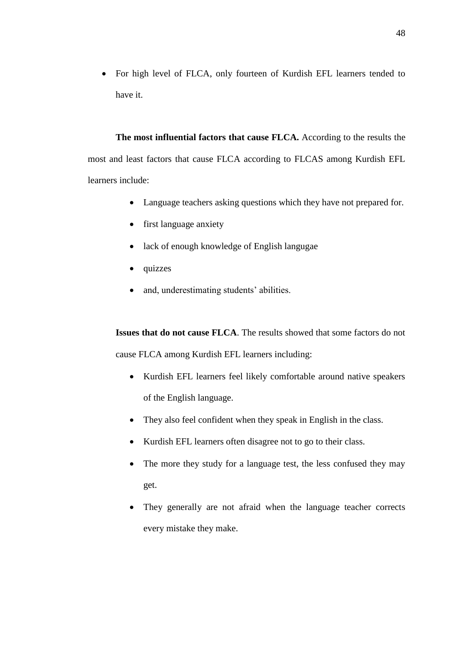For high level of FLCA, only fourteen of Kurdish EFL learners tended to have it.

**The most influential factors that cause FLCA.** According to the results the most and least factors that cause FLCA according to FLCAS among Kurdish EFL learners include:

- Language teachers asking questions which they have not prepared for.
- first language anxiety
- lack of enough knowledge of English langugae
- quizzes
- and, underestimating students' abilities.

**Issues that do not cause FLCA**. The results showed that some factors do not cause FLCA among Kurdish EFL learners including:

- Kurdish EFL learners feel likely comfortable around native speakers of the English language.
- They also feel confident when they speak in English in the class.
- Kurdish EFL learners often disagree not to go to their class.
- The more they study for a language test, the less confused they may get.
- They generally are not afraid when the language teacher corrects every mistake they make.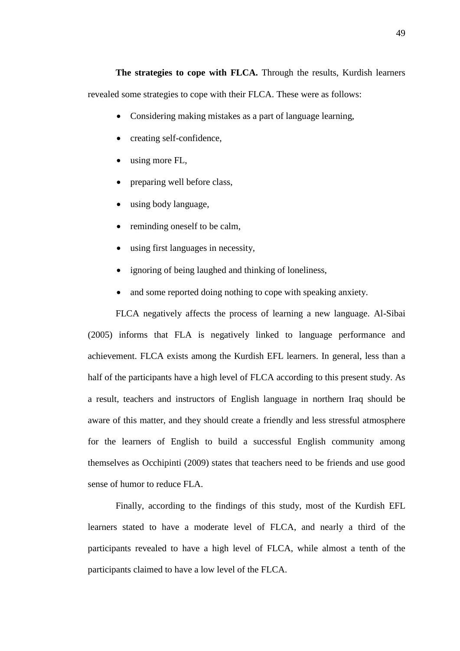**The strategies to cope with FLCA.** Through the results, Kurdish learners revealed some strategies to cope with their FLCA. These were as follows:

- Considering making mistakes as a part of language learning,
- creating self-confidence,
- using more FL,
- preparing well before class,
- using body language,
- reminding oneself to be calm,
- using first languages in necessity,
- ignoring of being laughed and thinking of loneliness,
- and some reported doing nothing to cope with speaking anxiety.

FLCA negatively affects the process of learning a new language. Al-Sibai (2005) informs that FLA is negatively linked to language performance and achievement. FLCA exists among the Kurdish EFL learners. In general, less than a half of the participants have a high level of FLCA according to this present study. As a result, teachers and instructors of English language in northern Iraq should be aware of this matter, and they should create a friendly and less stressful atmosphere for the learners of English to build a successful English community among themselves as Occhipinti (2009) states that teachers need to be friends and use good sense of humor to reduce FLA.

Finally, according to the findings of this study, most of the Kurdish EFL learners stated to have a moderate level of FLCA, and nearly a third of the participants revealed to have a high level of FLCA, while almost a tenth of the participants claimed to have a low level of the FLCA.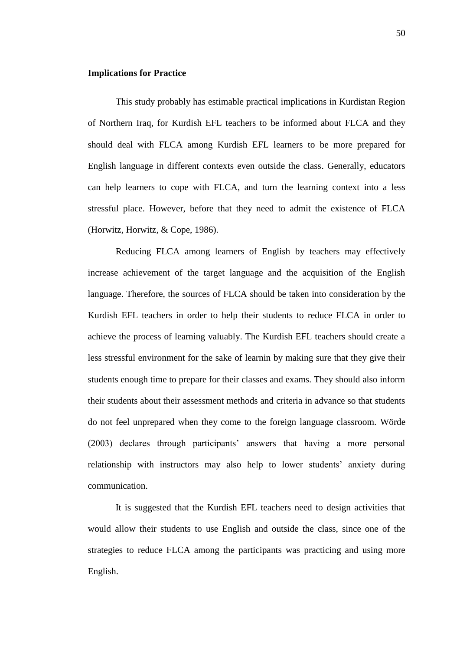## **Implications for Practice**

This study probably has estimable practical implications in Kurdistan Region of Northern Iraq, for Kurdish EFL teachers to be informed about FLCA and they should deal with FLCA among Kurdish EFL learners to be more prepared for English language in different contexts even outside the class. Generally, educators can help learners to cope with FLCA, and turn the learning context into a less stressful place. However, before that they need to admit the existence of FLCA (Horwitz, Horwitz, & Cope, 1986).

Reducing FLCA among learners of English by teachers may effectively increase achievement of the target language and the acquisition of the English language. Therefore, the sources of FLCA should be taken into consideration by the Kurdish EFL teachers in order to help their students to reduce FLCA in order to achieve the process of learning valuably. The Kurdish EFL teachers should create a less stressful environment for the sake of learnin by making sure that they give their students enough time to prepare for their classes and exams. They should also inform their students about their assessment methods and criteria in advance so that students do not feel unprepared when they come to the foreign language classroom. Wörde (2003) declares through participants' answers that having a more personal relationship with instructors may also help to lower students' anxiety during communication.

It is suggested that the Kurdish EFL teachers need to design activities that would allow their students to use English and outside the class, since one of the strategies to reduce FLCA among the participants was practicing and using more English.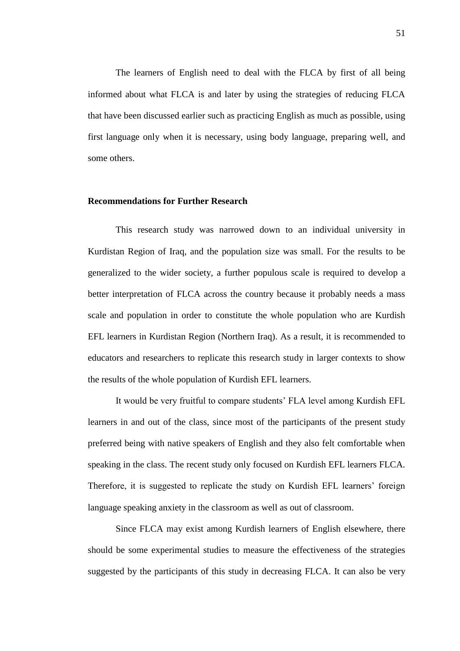The learners of English need to deal with the FLCA by first of all being informed about what FLCA is and later by using the strategies of reducing FLCA that have been discussed earlier such as practicing English as much as possible, using first language only when it is necessary, using body language, preparing well, and some others.

## **Recommendations for Further Research**

This research study was narrowed down to an individual university in Kurdistan Region of Iraq, and the population size was small. For the results to be generalized to the wider society, a further populous scale is required to develop a better interpretation of FLCA across the country because it probably needs a mass scale and population in order to constitute the whole population who are Kurdish EFL learners in Kurdistan Region (Northern Iraq). As a result, it is recommended to educators and researchers to replicate this research study in larger contexts to show the results of the whole population of Kurdish EFL learners.

It would be very fruitful to compare students' FLA level among Kurdish EFL learners in and out of the class, since most of the participants of the present study preferred being with native speakers of English and they also felt comfortable when speaking in the class. The recent study only focused on Kurdish EFL learners FLCA. Therefore, it is suggested to replicate the study on Kurdish EFL learners' foreign language speaking anxiety in the classroom as well as out of classroom.

Since FLCA may exist among Kurdish learners of English elsewhere, there should be some experimental studies to measure the effectiveness of the strategies suggested by the participants of this study in decreasing FLCA. It can also be very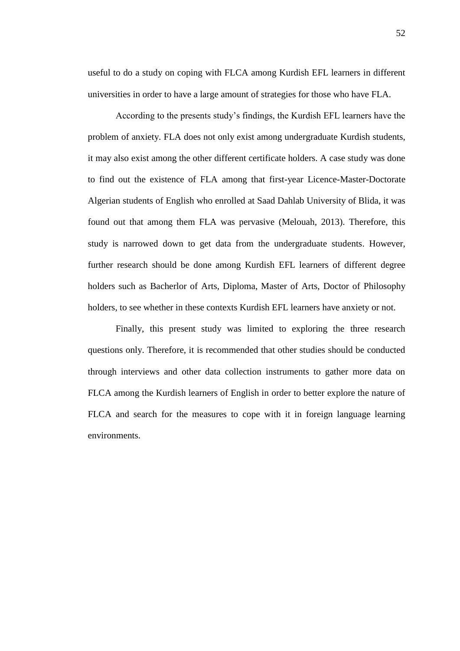useful to do a study on coping with FLCA among Kurdish EFL learners in different universities in order to have a large amount of strategies for those who have FLA.

According to the presents study's findings, the Kurdish EFL learners have the problem of anxiety. FLA does not only exist among undergraduate Kurdish students, it may also exist among the other different certificate holders. A case study was done to find out the existence of FLA among that first-year Licence-Master-Doctorate Algerian students of English who enrolled at Saad Dahlab University of Blida, it was found out that among them FLA was pervasive (Melouah, 2013). Therefore, this study is narrowed down to get data from the undergraduate students. However, further research should be done among Kurdish EFL learners of different degree holders such as Bacherlor of Arts, Diploma, Master of Arts, Doctor of Philosophy holders, to see whether in these contexts Kurdish EFL learners have anxiety or not.

Finally, this present study was limited to exploring the three research questions only. Therefore, it is recommended that other studies should be conducted through interviews and other data collection instruments to gather more data on FLCA among the Kurdish learners of English in order to better explore the nature of FLCA and search for the measures to cope with it in foreign language learning environments.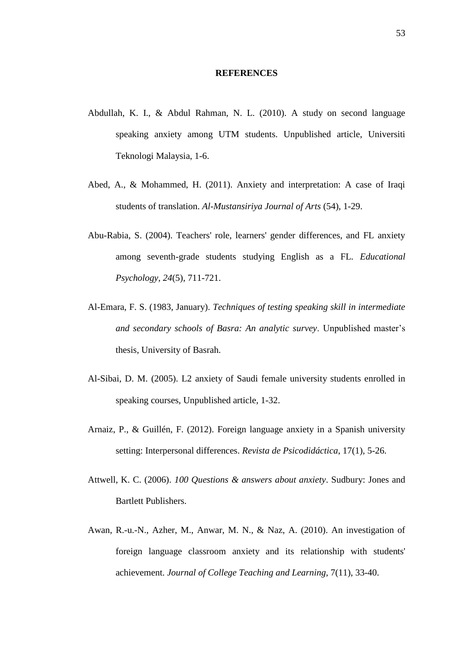### **REFERENCES**

- Abdullah, K. I., & Abdul Rahman, N. L. (2010). A study on second language speaking anxiety among UTM students. Unpublished article, Universiti Teknologi Malaysia, 1-6.
- Abed, A., & Mohammed, H. (2011). Anxiety and interpretation: A case of Iraqi students of translation. *Al-Mustansiriya Journal of Arts* (54), 1-29.
- Abu-Rabia, S. (2004). Teachers' role, learners' gender differences, and FL anxiety among seventh-grade students studying English as a FL. *Educational Psychology, 24*(5), 711-721.
- Al-Emara, F. S. (1983, January). *Techniques of testing speaking skill in intermediate and secondary schools of Basra: An analytic survey*. Unpublished master's thesis, University of Basrah.
- Al-Sibai, D. M. (2005). L2 anxiety of Saudi female university students enrolled in speaking courses, Unpublished article, 1-32.
- Arnaiz, P., & Guillén, F. (2012). Foreign language anxiety in a Spanish university setting: Interpersonal differences. *Revista de Psicodidáctica*, 17(1), 5-26.
- Attwell, K. C. (2006). *100 Questions & answers about anxiety*. Sudbury: Jones and Bartlett Publishers.
- Awan, R.-u.-N., Azher, M., Anwar, M. N., & Naz, A. (2010). An investigation of foreign language classroom anxiety and its relationship with students' achievement. *Journal of College Teaching and Learning*, 7(11), 33-40.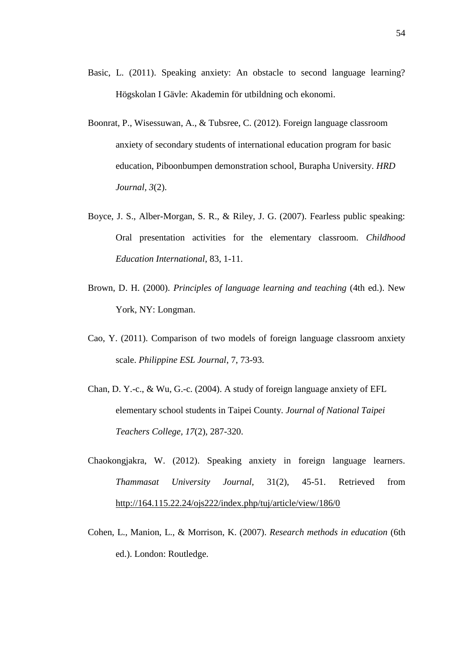- Basic, L. (2011). Speaking anxiety: An obstacle to second language learning? Högskolan I Gävle: Akademin för utbildning och ekonomi.
- Boonrat, P., Wisessuwan, A., & Tubsree, C. (2012). Foreign language classroom anxiety of secondary students of international education program for basic education, Piboonbumpen demonstration school, Burapha University. *HRD Journal, 3*(2).
- Boyce, J. S., Alber-Morgan, S. R., & Riley, J. G. (2007). Fearless public speaking: Oral presentation activities for the elementary classroom. *Childhood Education International*, 83, 1-11.
- Brown, D. H. (2000). *Principles of language learning and teaching* (4th ed.). New York, NY: Longman.
- Cao, Y. (2011). Comparison of two models of foreign language classroom anxiety scale. *Philippine ESL Journal*, 7, 73-93.
- Chan, D. Y.-c., & Wu, G.-c. (2004). A study of foreign language anxiety of EFL elementary school students in Taipei County. *Journal of National Taipei Teachers College, 17*(2), 287-320.
- Chaokongjakra, W. (2012). Speaking anxiety in foreign language learners. *Thammasat University Journal,* 31(2), 45-51. Retrieved from <http://164.115.22.24/ojs222/index.php/tuj/article/view/186/0>
- Cohen, L., Manion, L., & Morrison, K. (2007). *Research methods in education* (6th ed.). London: Routledge.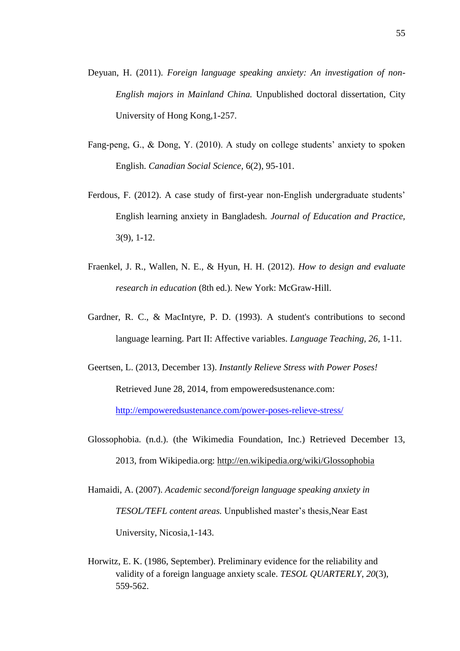- Deyuan, H. (2011). *Foreign language speaking anxiety: An investigation of non-English majors in Mainland China.* Unpublished doctoral dissertation, City University of Hong Kong,1-257.
- Fang-peng, G., & Dong, Y. (2010). A study on college students' anxiety to spoken English. *Canadian Social Science,* 6(2), 95-101.
- Ferdous, F. (2012). A case study of first-year non-English undergraduate students' English learning anxiety in Bangladesh. *Journal of Education and Practice,*  3(9), 1-12.
- Fraenkel, J. R., Wallen, N. E., & Hyun, H. H. (2012). *How to design and evaluate research in education* (8th ed.). New York: McGraw-Hill.
- Gardner, R. C., & MacIntyre, P. D. (1993). A student's contributions to second language learning. Part II: Affective variables. *Language Teaching, 26,* 1-11.
- Geertsen, L. (2013, December 13). *Instantly Relieve Stress with Power Poses!* Retrieved June 28, 2014, from empoweredsustenance.com:

<http://empoweredsustenance.com/power-poses-relieve-stress/>

- Glossophobia. (n.d.). (the Wikimedia Foundation, Inc.) Retrieved December 13, 2013, from Wikipedia.org:<http://en.wikipedia.org/wiki/Glossophobia>
- Hamaidi, A. (2007). *Academic second/foreign language speaking anxiety in TESOL/TEFL content areas.* Unpublished master's thesis*,*Near East University, Nicosia,1-143.
- Horwitz, E. K. (1986, September). Preliminary evidence for the reliability and validity of a foreign language anxiety scale. *TESOL QUARTERLY*, *20*(3), 559-562.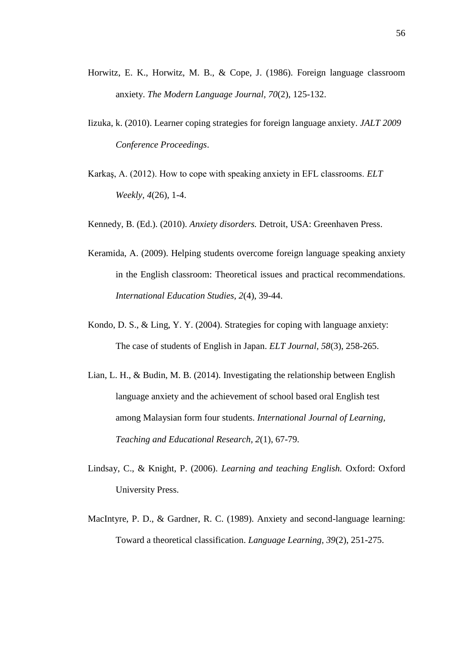- Horwitz, E. K., Horwitz, M. B., & Cope, J. (1986). Foreign language classroom anxiety. *The Modern Language Journal, 70*(2), 125-132.
- Iizuka, k. (2010). Learner coping strategies for foreign language anxiety. *JALT 2009 Conference Proceedings*.
- Karkaş, A. (2012). How to cope with speaking anxiety in EFL classrooms. *ELT Weekly, 4*(26), 1-4.
- Kennedy, B. (Ed.). (2010). *Anxiety disorders.* Detroit, USA: Greenhaven Press.
- Keramida, A. (2009). Helping students overcome foreign language speaking anxiety in the English classroom: Theoretical issues and practical recommendations. *International Education Studies, 2*(4), 39-44.
- Kondo, D. S., & Ling, Y. Y. (2004). Strategies for coping with language anxiety: The case of students of English in Japan. *ELT Journal, 58*(3), 258-265.
- Lian, L. H., & Budin, M. B. (2014). Investigating the relationship between English language anxiety and the achievement of school based oral English test among Malaysian form four students. *International Journal of Learning, Teaching and Educational Research, 2*(1), 67-79.
- Lindsay, C., & Knight, P. (2006). *Learning and teaching English.* Oxford: Oxford University Press.
- MacIntyre, P. D., & Gardner, R. C. (1989). Anxiety and second-language learning: Toward a theoretical classification. *Language Learning, 39*(2), 251-275.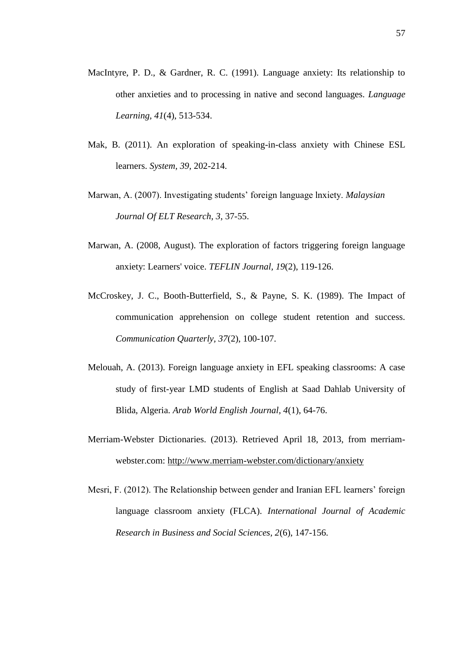- MacIntyre, P. D., & Gardner, R. C. (1991). Language anxiety: Its relationship to other anxieties and to processing in native and second languages. *Language Learning, 41*(4), 513-534.
- Mak, B. (2011). An exploration of speaking-in-class anxiety with Chinese ESL learners. *System, 39,* 202-214.
- Marwan, A. (2007). Investigating students' foreign language lnxiety. *Malaysian Journal Of ELT Research, 3*, 37-55.
- Marwan, A. (2008, August). The exploration of factors triggering foreign language anxiety: Learners' voice. *TEFLIN Journal, 19*(2), 119-126.
- McCroskey, J. C., Booth-Butterfield, S., & Payne, S. K. (1989). The Impact of communication apprehension on college student retention and success. *Communication Quarterly, 37*(2), 100-107.
- Melouah, A. (2013). Foreign language anxiety in EFL speaking classrooms: A case study of first-year LMD students of English at Saad Dahlab University of Blida, Algeria. *Arab World English Journal, 4*(1), 64-76.
- Merriam-Webster Dictionaries. (2013). Retrieved April 18, 2013, from merriamwebster.com:<http://www.merriam-webster.com/dictionary/anxiety>
- Mesri, F. (2012). The Relationship between gender and Iranian EFL learners' foreign language classroom anxiety (FLCA). *International Journal of Academic Research in Business and Social Sciences, 2*(6), 147-156.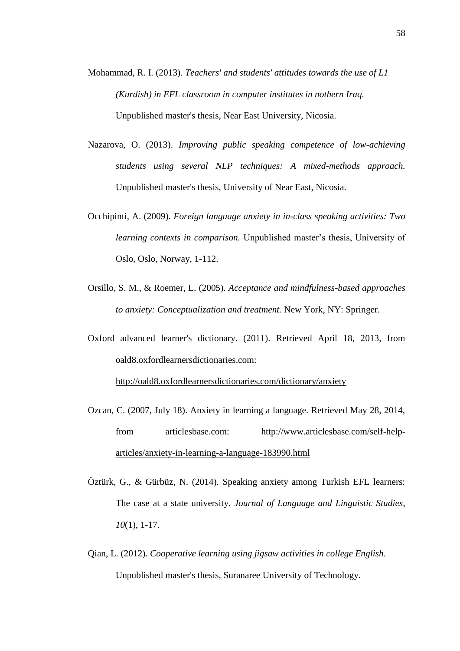- Mohammad, R. I. (2013). *Teachers' and students' attitudes towards the use of L1 (Kurdish) in EFL classroom in computer institutes in nothern Iraq.* Unpublished master's thesis, Near East University, Nicosia.
- Nazarova, O. (2013). *Improving public speaking competence of low-achieving students using several NLP techniques: A mixed-methods approach.* Unpublished master's thesis, University of Near East, Nicosia.
- Occhipinti, A. (2009). *Foreign language anxiety in in-class speaking activities: Two learning contexts in comparison.* Unpublished master's thesis, University of Oslo, Oslo, Norway, 1-112.
- Orsillo, S. M., & Roemer, L. (2005). *Acceptance and mindfulness-based approaches to anxiety: Conceptualization and treatment.* New York, NY: Springer.
- Oxford advanced learner's dictionary. (2011). Retrieved April 18, 2013, from oald8.oxfordlearnersdictionaries.com:

<http://oald8.oxfordlearnersdictionaries.com/dictionary/anxiety>

- Ozcan, C. (2007, July 18). Anxiety in learning a language. Retrieved May 28, 2014, from articlesbase.com: [http://www.articlesbase.com/self-help](http://www.articlesbase.com/self-help-articles/anxiety-in-learning-a-language-183990.html)[articles/anxiety-in-learning-a-language-183990.html](http://www.articlesbase.com/self-help-articles/anxiety-in-learning-a-language-183990.html)
- Öztürk, G., & Gürbüz, N. (2014). Speaking anxiety among Turkish EFL learners: The case at a state university. *Journal of Language and Linguistic Studies*, *10*(1), 1-17.
- Qian, L. (2012). *Cooperative learning using jigsaw activities in college English*. Unpublished master's thesis, Suranaree University of Technology.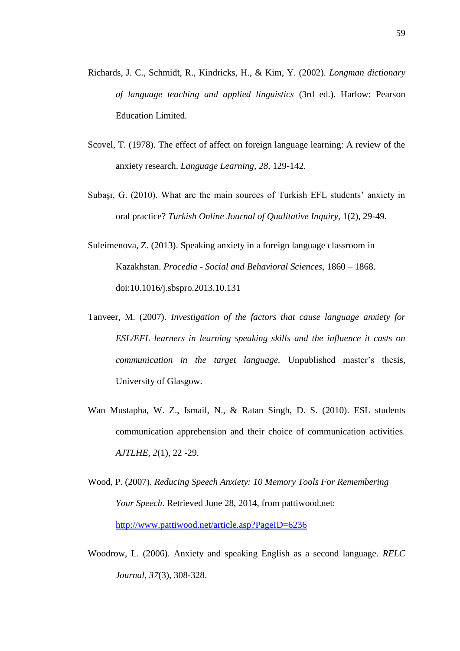- Richards, J. C., Schmidt, R., Kindricks, H., & Kim, Y. (2002). *Longman dictionary of language teaching and applied linguistics* (3rd ed.). Harlow: Pearson Education Limited.
- Scovel, T. (1978). The effect of affect on foreign language learning: A review of the anxiety research. *Language Learning, 28,* 129-142.
- Subaşı, G. (2010). What are the main sources of Turkish EFL students' anxiety in oral practice? *Turkish Online Journal of Qualitative Inquiry,* 1(2), 29-49.
- Suleimenova, Z. (2013). Speaking anxiety in a foreign language classroom in Kazakhstan. *Procedia - Social and Behavioral Sciences*, 1860 – 1868. doi:10.1016/j.sbspro.2013.10.131
- Tanveer, M. (2007). *Investigation of the factors that cause language anxiety for ESL/EFL learners in learning speaking skills and the influence it casts on communication in the target language.* Unpublished master's thesis, University of Glasgow.
- Wan Mustapha, W. Z., Ismail, N., & Ratan Singh, D. S. (2010). ESL students communication apprehension and their choice of communication activities. *AJTLHE, 2*(1), 22 -29.
- Wood, P. (2007). *Reducing Speech Anxiety: 10 Memory Tools For Remembering Your Speech*. Retrieved June 28, 2014, from pattiwood.net: <http://www.pattiwood.net/article.asp?PageID=6236>
- Woodrow, L. (2006). Anxiety and speaking English as a second language. *RELC Journal, 37*(3), 308-328.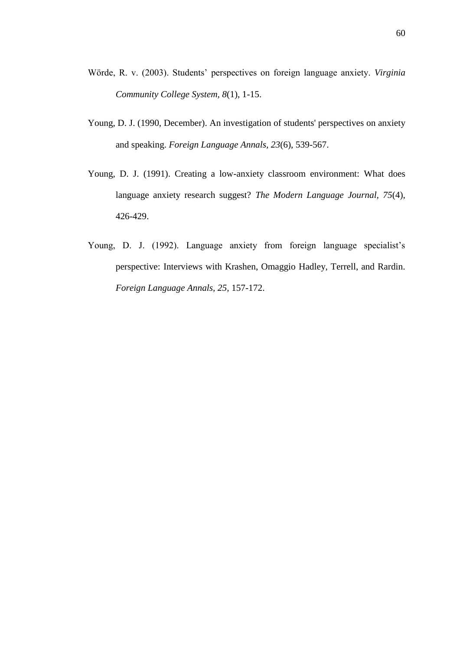- Wörde, R. v. (2003). Students' perspectives on foreign language anxiety. *Virginia Community College System, 8*(1), 1-15.
- Young, D. J. (1990, December). An investigation of students' perspectives on anxiety and speaking. *Foreign Language Annals, 23*(6), 539-567.
- Young, D. J. (1991). Creating a low-anxiety classroom environment: What does language anxiety research suggest? *The Modern Language Journal, 75*(4), 426-429.
- Young, D. J. (1992). Language anxiety from foreign language specialist's perspective: Interviews with Krashen, Omaggio Hadley, Terrell, and Rardin. *Foreign Language Annals, 25,* 157-172.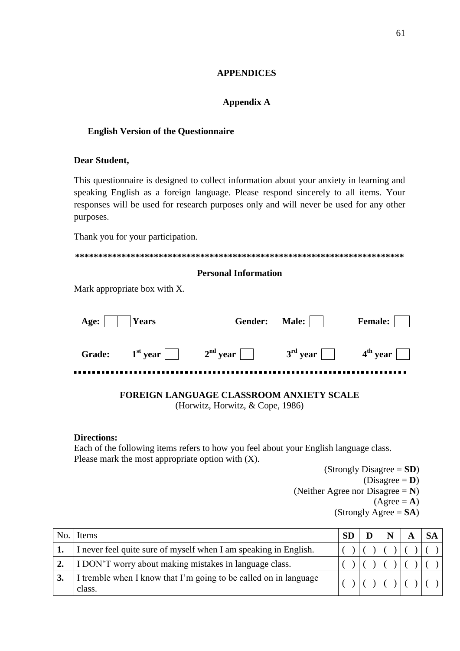## **APPENDICES**

## **Appendix A**

## **English Version of the Questionnaire**

#### **Dear Student,**

This questionnaire is designed to collect information about your anxiety in learning and speaking English as a foreign language. Please respond sincerely to all items. Your responses will be used for research purposes only and will never be used for any other purposes.

Thank you for your participation.

## **Personal Information**

Mark appropriate box with X.

| Age: | Years |                                                                                                | Gender: Male: | <b>Female:</b> |
|------|-------|------------------------------------------------------------------------------------------------|---------------|----------------|
|      |       | Grade: $1^{st}$ year $ $ $ $ $2^{nd}$ year $ $ $ $ $3^{rd}$ year $ $ $ $ $4^{th}$ year $ $ $ $ |               |                |

# **FOREIGN LANGUAGE CLASSROOM ANXIETY SCALE**

(Horwitz, Horwitz, & Cope, 1986)

#### **Directions:**

Each of the following items refers to how you feel about your English language class. Please mark the most appropriate option with (X).

(Strongly Disagree = **SD**)  $(Disagree = **D**)$ (Neither Agree nor Disagree = **N**)  $(A\text{gree} = \mathbf{A})$ (Strongly Agree = **SA**)

| No. | Items                                                                      | <b>SD</b> | N |  |  |
|-----|----------------------------------------------------------------------------|-----------|---|--|--|
|     | I never feel quite sure of myself when I am speaking in English.           |           |   |  |  |
|     | I DON'T worry about making mistakes in language class.                     |           |   |  |  |
|     | I tremble when I know that I'm going to be called on in language<br>class. |           |   |  |  |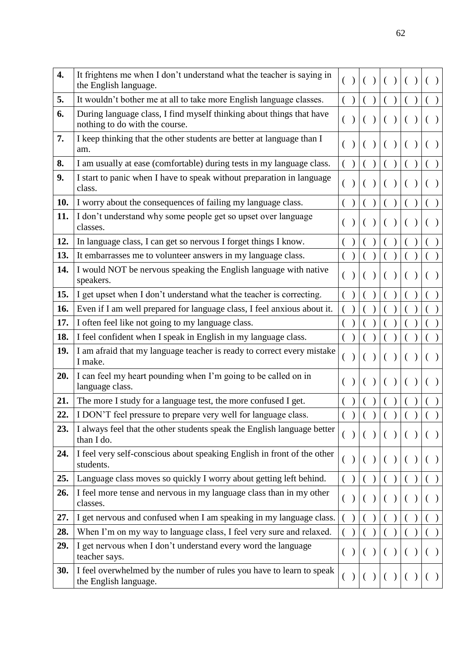| 4.  | It frightens me when I don't understand what the teacher is saying in<br>the English language.         |                |     |           |          |     |          |  |
|-----|--------------------------------------------------------------------------------------------------------|----------------|-----|-----------|----------|-----|----------|--|
| 5.  | It wouldn't bother me at all to take more English language classes.                                    |                | ( ) | ( )       |          | ( ) | $\left($ |  |
| 6.  | During language class, I find myself thinking about things that have<br>nothing to do with the course. | ( )            |     | $\lambda$ |          | ( ) | ( )      |  |
| 7.  | I keep thinking that the other students are better at language than I<br>am.                           |                |     |           |          |     |          |  |
| 8.  | I am usually at ease (comfortable) during tests in my language class.                                  |                |     |           |          |     |          |  |
| 9.  | I start to panic when I have to speak without preparation in language<br>class.                        |                |     |           |          |     |          |  |
| 10. | I worry about the consequences of failing my language class.                                           |                |     |           |          |     |          |  |
| 11. | I don't understand why some people get so upset over language<br>classes.                              |                |     |           |          |     |          |  |
| 12. | In language class, I can get so nervous I forget things I know.                                        |                |     |           |          |     |          |  |
| 13. | It embarrasses me to volunteer answers in my language class.                                           |                |     |           |          |     |          |  |
| 14. | I would NOT be nervous speaking the English language with native<br>speakers.                          |                |     |           |          |     |          |  |
| 15. | I get upset when I don't understand what the teacher is correcting.                                    |                |     |           |          |     |          |  |
| 16. | Even if I am well prepared for language class, I feel anxious about it.                                |                |     |           |          |     |          |  |
| 17. | I often feel like not going to my language class.                                                      |                |     |           |          |     |          |  |
| 18. | I feel confident when I speak in English in my language class.                                         |                |     |           |          |     |          |  |
| 19. | I am afraid that my language teacher is ready to correct every mistake<br>I make.                      |                |     |           |          |     |          |  |
| 20. | I can feel my heart pounding when I'm going to be called on in<br>language class.                      |                |     |           |          |     |          |  |
| 21. | The more I study for a language test, the more confused I get.                                         |                |     |           |          |     |          |  |
| 22. | I DON'T feel pressure to prepare very well for language class.                                         |                |     |           |          |     |          |  |
| 23. | I always feel that the other students speak the English language better<br>than I do.                  | $\left($       |     |           |          |     |          |  |
| 24. | I feel very self-conscious about speaking English in front of the other<br>students.                   |                |     |           |          |     |          |  |
| 25. | Language class moves so quickly I worry about getting left behind.                                     |                |     |           |          |     |          |  |
| 26. | I feel more tense and nervous in my language class than in my other<br>classes.                        | €              |     |           |          |     |          |  |
| 27. | I get nervous and confused when I am speaking in my language class.                                    |                |     |           |          |     |          |  |
| 28. | When I'm on my way to language class, I feel very sure and relaxed.                                    |                |     |           |          |     |          |  |
| 29. | I get nervous when I don't understand every word the language<br>teacher says.                         | $\left($       |     |           | $\left($ |     |          |  |
| 30. | I feel overwhelmed by the number of rules you have to learn to speak<br>the English language.          | $\overline{(}$ |     |           |          |     |          |  |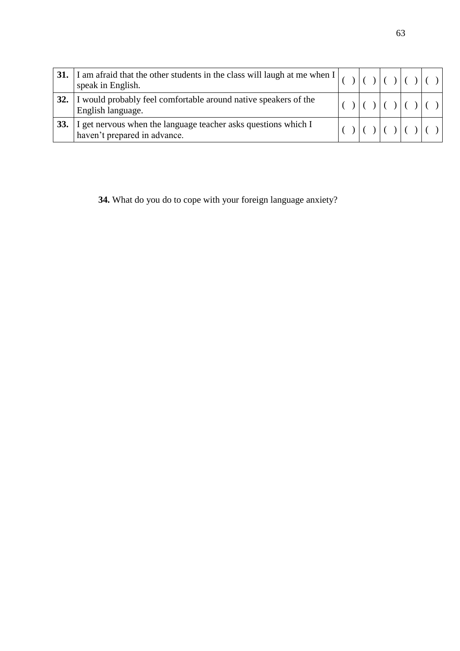|     | 31. I am afraid that the other students in the class will laugh at me when $\begin{bmatrix} 1 & 0 \\ 0 & 1 \end{bmatrix}$ ( ) ( ) ( ) ( )<br>speak in English. |  |  |  |  |               |  |
|-----|----------------------------------------------------------------------------------------------------------------------------------------------------------------|--|--|--|--|---------------|--|
| 32. | I would probably feel comfortable around native speakers of the<br>English language.                                                                           |  |  |  |  | ) $ () () ()$ |  |
| 33. | I get nervous when the language teacher asks questions which I<br>haven't prepared in advance.                                                                 |  |  |  |  |               |  |

**34.** What do you do to cope with your foreign language anxiety?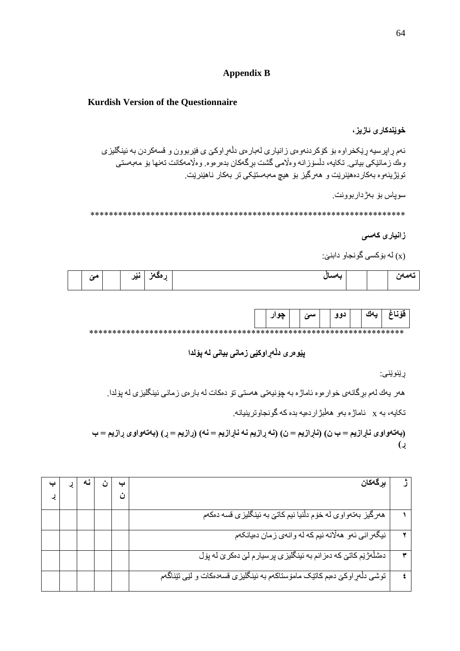# **Appendix B**

#### **Kurdish Version of the Questionnaire**

#### **خوێندکاری ئازیز**،

ئەم ڕاپرسیە ڕێکخراوە بۆ کۆکردنەوەی زانیاری لەبارەی دڵەڕاوکێ ی فێربوون و قسەکردن بە ئینگلیزی وەك زمانێکی بیانی. تکایە، دڵسۆزانە وەاڵمی گشت بڕگەکان بدەرەوە. وەاڵمەکانت تەنها بۆ مەبەستی توێژینەوە بەکاردەهێنرێت و هەرگیز بۆ هیچ مەبەستێکی تر بەکار ناهێنرێت.

سوپاس بۆ بەژداربوونت.

\*\*\*\*\*\*\*\*\*\*\*\*\*\*\*\*\*\*\*\*\*\*\*\*\*\*\*\*\*\*\*\*\*\*\*\*\*\*\*\*\*\*\*\*\*\*\*\*\*\*\*\*\*\*\*\*\*\*\*\*\*\*\*\*\*\*\*\*

## **زانیاری کەسی**

(x (لە بۆکسی گونجاو دابنێ:

| $\sim$<br>$\overline{\phantom{a}}$ | $\mathbf{v}$<br>$\cdots$<br>v. | --- | مسسلا |  | АA<br>æ<br>$-1$ |
|------------------------------------|--------------------------------|-----|-------|--|-----------------|
|                                    |                                |     |       |  |                 |

|  | حه ۱۱ | المامر" | ده ه | سەك | قة ڏ |
|--|-------|---------|------|-----|------|
|  |       |         |      |     |      |

# **پێوەری دڵەڕاوکێی زمانی بیانی لە پۆلدا**

ڕێنوێنی:

هەر یەك لەم بڕگانەی خوارەوە ئاماژە بە چۆنیەتی هەستی تۆ دەکات لە بارەی زمانی ئینگلیزی لە پۆلدا.

تکایە، بە x ئاماژە بەو هەڵبژاردەیە بدە کە گونجاوترینیانە.

**)بەتەواوی ناڕازیم = ب ن( )ناڕازیم = ن( )نە ڕازیم نە ناڕازیم = نە( )ڕازیم = ڕ( )بەتەواوی ڕازیم = ب ڕ(**

| بر گەكان                                                                     |  |  |  |
|------------------------------------------------------------------------------|--|--|--|
|                                                                              |  |  |  |
| همرگیز بهتمواوی له خوّم دلّنیا نیم کاتی به نینگلیزی قسه دهکم                 |  |  |  |
| نیگیرانی ئەو ھەلانە نیم كە لە وانەي زمان دەيانكەم                            |  |  |  |
| دمشلَّــفرْنِم کاتـی کـه دمز انم بـه ئینـگلیز ی پرسیار م لـی دمکر ی لـه پول  |  |  |  |
| توشی دلْهِر اوکی دهبم کاتیک ماموْستاکهم به نینگلیزی قسهدمکات و لیّی تیّناگهم |  |  |  |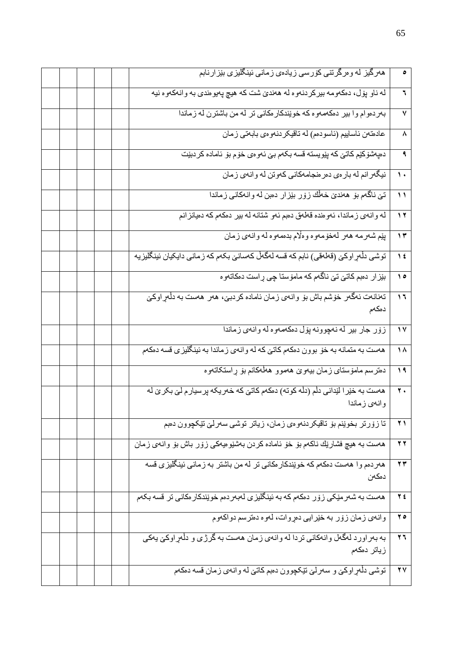|                          | همرگیز له ومرگرتنی کورسی زیادهی زمانی ئینگلیزی بێزارنابم                                        |  |  |
|--------------------------|-------------------------------------------------------------------------------------------------|--|--|
| ٦                        | له ناو پول، دهكهومه بيركردنموه له ههنديّ شت كه هيچ پهيومندي به وانهكهوه نيه                     |  |  |
| ٧                        | بهردموام وا بیر دمکهمهوه که خویندکار مکانی تر له من باشترن له زماندا                            |  |  |
| ٨                        | عادهتهن ئاساييم (ئاسودهم) له تاقيكردنهوهي بابهتي زمان                                           |  |  |
| ٩                        | دەپەشۆكێم كاتى كە پێويستە قسە بكەم بىّ ئەوەي خۆم بۆ ئامادە كردېێت                               |  |  |
| $\mathbf{L}$             | نیگیر انم له بار می دمر منجامهکانی کموتن له وانهی زمان                                          |  |  |
| $\overline{\mathcal{L}}$ | تيّ ناگهم بوّ ههنديّ خطّك زوّر بيّز ار دهبن له وانهكاني زماندا                                  |  |  |
| $\overline{\mathbf{y}}$  | له وانهي زماندا، ئەوەندە قەلەق دەبم ئەو شتانە لە بير دەكەم كە دەيانزانم                         |  |  |
| $\gamma$                 | بِيِّم شَهرمه ههر لهخوّمهوه وهلَّام بدهمهوه له وانهي زمان                                       |  |  |
| $\sqrt{6}$               | توشی دلْهِراوکی٘ (قطعقی) نابم که قسه لهگهلْ کهسانیٰ بکمم که زمانی دایکیان ئینگلیزیه             |  |  |
| $\lambda$                | بێزار دهبم کاتێ تێ ناگهم که مامۆستا چی راست دهکاتهوه                                            |  |  |
| $\mathcal{L}$            | تعنانعت ئەگەر خۆشم باش بۆ وانەي زمان ئامادە كردبى، ھەر ھەست بە دلْەر اوكىي<br>دەكەم             |  |  |
|                          |                                                                                                 |  |  |
| $\sqrt{2}$               | زۆر جار بير له نەچوونه پۆل دەكەمەوە لەوانەي زماندا                                              |  |  |
| ۱۸                       | ههست به متمانه به خوّ بوون دمکهم کاتیّ که له وانهی زماندا به ئینگلیزی قسه دمکهم                 |  |  |
| $\sqrt{4}$               | دمترسم ماموستاي زمان بيەوێ هەموو هەڵەكانم بۆ ڕاستكاتەوه                                         |  |  |
| $\mathbf{y}$ .           | هەست بە خێرا لێدانی دڵم (دڵە کوتە) دەکەم کاتیّ کە خەریکە پرسیار م لیّ بکر یّ لە<br>وانەي زماندا |  |  |
| $\overline{Y}$           | تا زوّرتر بخويْنم بوّ تاقيكردنـهوءي زمان، زياتر توشي سـهرلـيّ تێكجوون دهبم                      |  |  |
| $\mathbf{y}$             | هەست بە هیچ فشارتِك ناكەم بۆ خۆ ئامادە كردن بەشنوەيەكى زۆر باش بۆ وانەي زمان                    |  |  |
| $\pmb{\curlyvee}$        | هەردەم وا هەست دەكەم كە خويندكار ەكانى تر لە من باشتر بە زمانى ئېنگلېزى قسە<br>دمكەن            |  |  |
| $Y$ ź                    | هەست بە شەرمێکى زۆر دەكەم كە بە ئېنگلېزى لەبەردەم خوێندكارەكانى تر قسە بكەم                     |  |  |
| $\mathbf{y}$             | وانهي زمان زور به خێرايي دهروات، لموه دهترسم دواكهوم                                            |  |  |
| $\mathbf{y}$             | به بهر اورد لهگهل وانهکانی تردا له وانهی زمان ههست به گرژی و دلْهراوکیّ یهکی<br>زياتر دمكهم     |  |  |
| $\overline{Y}$           | توشي دلْمِر اوكيّ و سەرليّ نێكچوون دەبم كاتيّ له وانەي زمان قسه دەكەم                           |  |  |
|                          |                                                                                                 |  |  |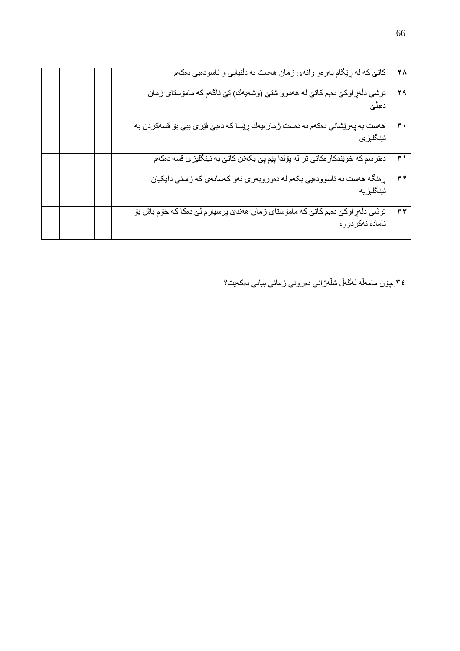| ٢٨             | کاتیٌ که له ړێگام بهر مو وانهي زمان ههست به دلْنيايي و ئاسودميي دمکهم                                      |  |  |  |
|----------------|------------------------------------------------------------------------------------------------------------|--|--|--|
| 29             | توشی دلْمر اوکیّ دمبم کاتیّ له هەموو شتیّ (وشەیەك) تیّ ناگەم که ماموّستای زمان                             |  |  |  |
| $\mathbf{r}$ . | ههست به پهریشانی دمکهم به دمست ژمار میهك ړیسا كه دمبیّ فیری ببی بو قسهکردن به<br>ئ <b>ینگلیز <i>ی</i></b>  |  |  |  |
| ۳١             | دمتر سم که خوێندکار مکانی تر له پۆلدا پێم پێ بکعنن کاتێ به ئینگلیزی قسه دمکهم                              |  |  |  |
| $\tau$ $\tau$  | ړ منگه ههست به ناسوودهيي بکهم له دهوروبهري نهو کهسانهي که زماني دايکيان<br>ئینگلیز یه                      |  |  |  |
| $\mathbf{r}$   | توشی دلٰہرِ اوکی٘ دمبم کاتی٘ که مامو٘ستای زمان ھەندیٚ پرسیار م لیّ دمکا که خو٘م باش بو٘<br>ئاماده نەكردووه |  |  |  |

.٤٣چۆن مامەڵە لەگەڵ شڵەژانی دەرونی زمانی بیانی دەکەیت؟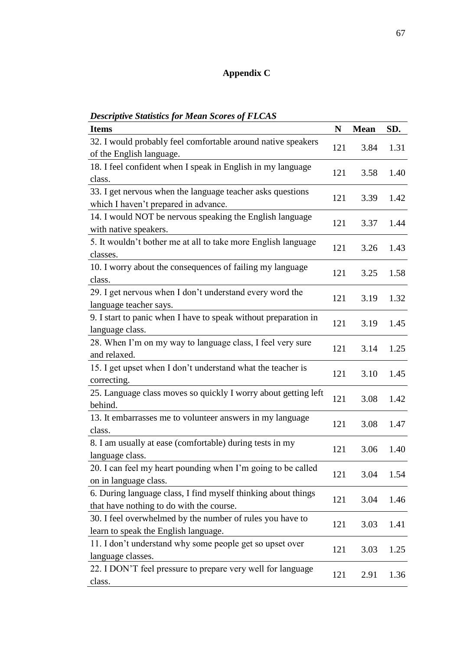# **Appendix C**

| <i>Descriptive Statistics for Mean Scores of FLCAS</i>          |     |             |      |
|-----------------------------------------------------------------|-----|-------------|------|
| <b>Items</b>                                                    | N   | <b>Mean</b> | SD.  |
| 32. I would probably feel comfortable around native speakers    | 121 | 3.84        | 1.31 |
| of the English language.                                        |     |             |      |
| 18. I feel confident when I speak in English in my language     | 121 | 3.58        | 1.40 |
| class.                                                          |     |             |      |
| 33. I get nervous when the language teacher asks questions      | 121 | 3.39        | 1.42 |
| which I haven't prepared in advance.                            |     |             |      |
| 14. I would NOT be nervous speaking the English language        | 121 | 3.37        | 1.44 |
| with native speakers.                                           |     |             |      |
| 5. It wouldn't bother me at all to take more English language   | 121 | 3.26        | 1.43 |
| classes.                                                        |     |             |      |
| 10. I worry about the consequences of failing my language       | 121 | 3.25        | 1.58 |
| class.                                                          |     |             |      |
| 29. I get nervous when I don't understand every word the        | 121 | 3.19        | 1.32 |
| language teacher says.                                          |     |             |      |
| 9. I start to panic when I have to speak without preparation in | 121 | 3.19        | 1.45 |
| language class.                                                 |     |             |      |
| 28. When I'm on my way to language class, I feel very sure      | 121 | 3.14        | 1.25 |
| and relaxed.                                                    |     |             |      |
| 15. I get upset when I don't understand what the teacher is     | 121 | 3.10        | 1.45 |
| correcting.                                                     |     |             |      |
| 25. Language class moves so quickly I worry about getting left  | 121 | 3.08        | 1.42 |
| behind.                                                         |     |             |      |
| 13. It embarrasses me to volunteer answers in my language       | 121 | 3.08        | 1.47 |
| class.                                                          |     |             |      |
| 8. I am usually at ease (comfortable) during tests in my        |     | 3.06        | 1.40 |
| language class.                                                 | 121 |             |      |
| 20. I can feel my heart pounding when I'm going to be called    | 121 | 3.04        | 1.54 |
| on in language class.                                           |     |             |      |
| 6. During language class, I find myself thinking about things   | 121 | 3.04        | 1.46 |
| that have nothing to do with the course.                        |     |             |      |
| 30. I feel overwhelmed by the number of rules you have to       |     |             |      |
| learn to speak the English language.                            | 121 | 3.03        | 1.41 |
| 11. I don't understand why some people get so upset over        |     |             |      |
| language classes.                                               | 121 | 3.03        | 1.25 |
| 22. I DON'T feel pressure to prepare very well for language     |     |             |      |
| class.                                                          | 121 | 2.91        | 1.36 |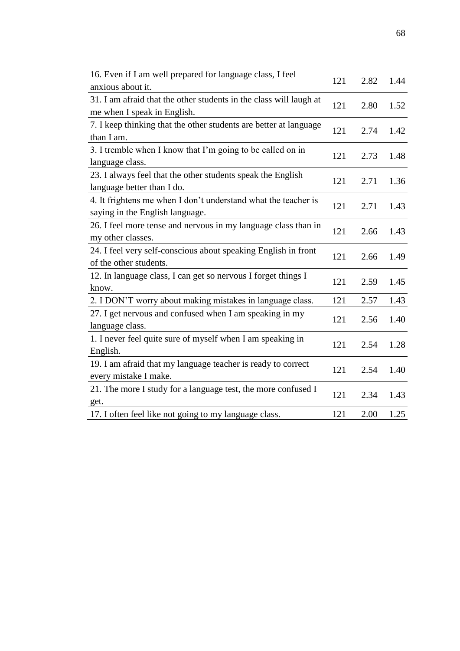| 16. Even if I am well prepared for language class, I feel<br>anxious about it. | 121 | 2.82 | 1.44 |
|--------------------------------------------------------------------------------|-----|------|------|
| 31. I am afraid that the other students in the class will laugh at             |     |      |      |
| me when I speak in English.                                                    | 121 | 2.80 | 1.52 |
| 7. I keep thinking that the other students are better at language              |     |      |      |
| than I am.                                                                     | 121 | 2.74 | 1.42 |
| 3. I tremble when I know that I'm going to be called on in                     |     |      |      |
| language class.                                                                | 121 | 2.73 | 1.48 |
| 23. I always feel that the other students speak the English                    |     |      |      |
| language better than I do.                                                     | 121 | 2.71 | 1.36 |
| 4. It frightens me when I don't understand what the teacher is                 |     |      |      |
| saying in the English language.                                                | 121 | 2.71 | 1.43 |
| 26. I feel more tense and nervous in my language class than in                 |     |      |      |
| my other classes.                                                              | 121 | 2.66 | 1.43 |
| 24. I feel very self-conscious about speaking English in front                 |     |      |      |
| of the other students.                                                         | 121 | 2.66 | 1.49 |
| 12. In language class, I can get so nervous I forget things I                  |     |      |      |
| know.                                                                          | 121 | 2.59 | 1.45 |
| 2. I DON'T worry about making mistakes in language class.                      | 121 | 2.57 | 1.43 |
| 27. I get nervous and confused when I am speaking in my                        |     |      |      |
| language class.                                                                | 121 | 2.56 | 1.40 |
| 1. I never feel quite sure of myself when I am speaking in                     |     |      |      |
| English.                                                                       | 121 | 2.54 | 1.28 |
| 19. I am afraid that my language teacher is ready to correct                   |     |      |      |
| every mistake I make.                                                          | 121 | 2.54 | 1.40 |
| 21. The more I study for a language test, the more confused I                  |     |      |      |
| get.                                                                           | 121 | 2.34 | 1.43 |
| 17. I often feel like not going to my language class.                          | 121 | 2.00 | 1.25 |

68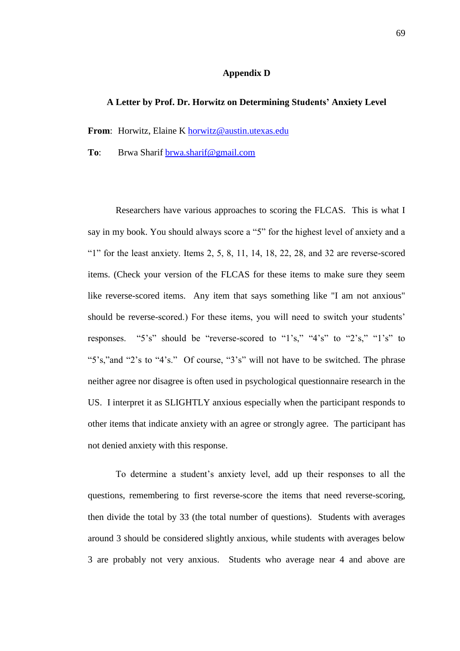#### **Appendix D**

#### **A Letter by Prof. Dr. Horwitz on Determining Students' Anxiety Level**

**From**: Horwitz, Elaine K [horwitz@austin.utexas.edu](mailto:horwitz@austin.utexas.edu)

**To**: Brwa Sharif [brwa.sharif@gmail.com](mailto:brwa.sharif@gmail.com)

Researchers have various approaches to scoring the FLCAS. This is what I say in my book. You should always score a "5" for the highest level of anxiety and a "1" for the least anxiety. Items 2, 5, 8, 11, 14, 18, 22, 28, and 32 are reverse-scored items. (Check your version of the FLCAS for these items to make sure they seem like reverse-scored items. Any item that says something like "I am not anxious" should be reverse-scored.) For these items, you will need to switch your students' responses. "5's" should be "reverse-scored to "1's," "4's" to "2's," "1's" to "5's,"and "2's to "4's." Of course, "3's" will not have to be switched. The phrase neither agree nor disagree is often used in psychological questionnaire research in the US. I interpret it as SLIGHTLY anxious especially when the participant responds to other items that indicate anxiety with an agree or strongly agree. The participant has not denied anxiety with this response.

To determine a student's anxiety level, add up their responses to all the questions, remembering to first reverse-score the items that need reverse-scoring, then divide the total by 33 (the total number of questions). Students with averages around 3 should be considered slightly anxious, while students with averages below 3 are probably not very anxious. Students who average near 4 and above are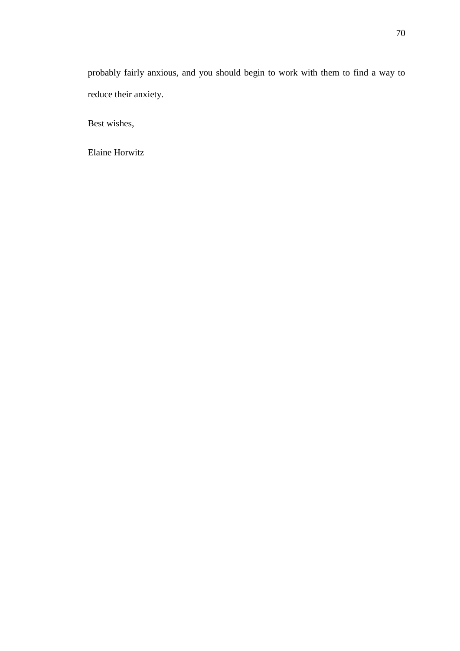probably fairly anxious, and you should begin to work with them to find a way to reduce their anxiety.

Best wishes,

Elaine Horwitz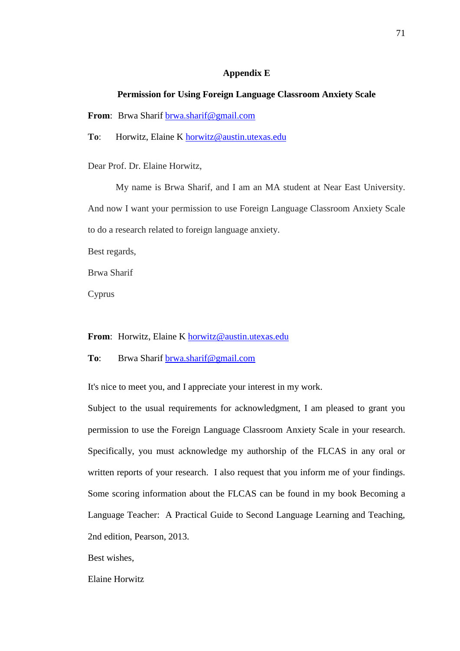#### **Appendix E**

#### **Permission for Using Foreign Language Classroom Anxiety Scale**

**From**: Brwa Sharif [brwa.sharif@gmail.com](mailto:brwa.sharif@gmail.com)

**To**: Horwitz, Elaine K [horwitz@austin.utexas.edu](mailto:horwitz@austin.utexas.edu)

Dear Prof. Dr. Elaine Horwitz,

My name is Brwa Sharif, and I am an MA student at Near East University. And now I want your permission to use Foreign Language Classroom Anxiety Scale to do a research related to foreign language anxiety.

Best regards,

Brwa Sharif

Cyprus

From: Horwitz, Elaine K [horwitz@austin.utexas.edu](mailto:horwitz@austin.utexas.edu)

**To**: Brwa Sharif [brwa.sharif@gmail.com](mailto:brwa.sharif@gmail.com)

It's nice to meet you, and I appreciate your interest in my work.

Subject to the usual requirements for acknowledgment, I am pleased to grant you permission to use the Foreign Language Classroom Anxiety Scale in your research. Specifically, you must acknowledge my authorship of the FLCAS in any oral or written reports of your research. I also request that you inform me of your findings. Some scoring information about the FLCAS can be found in my book Becoming a Language Teacher: A Practical Guide to Second Language Learning and Teaching, 2nd edition, Pearson, 2013.

Best wishes,

Elaine Horwitz